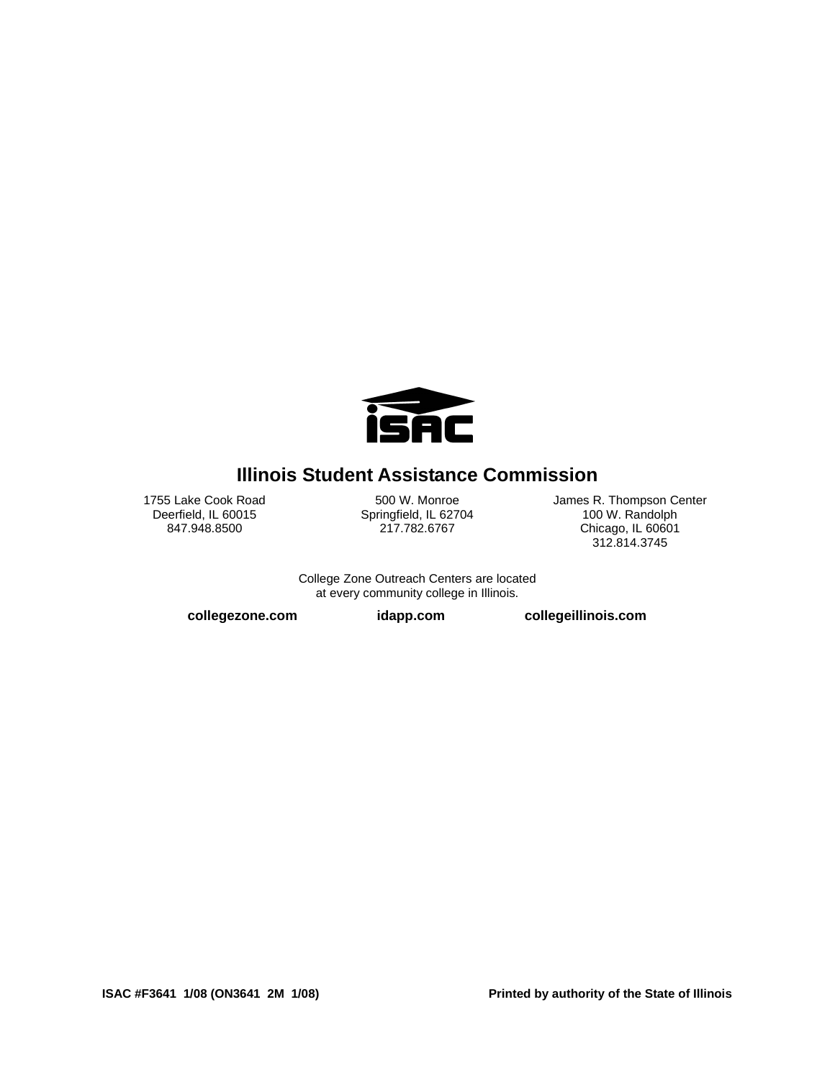

Illinois Student Assistance Commission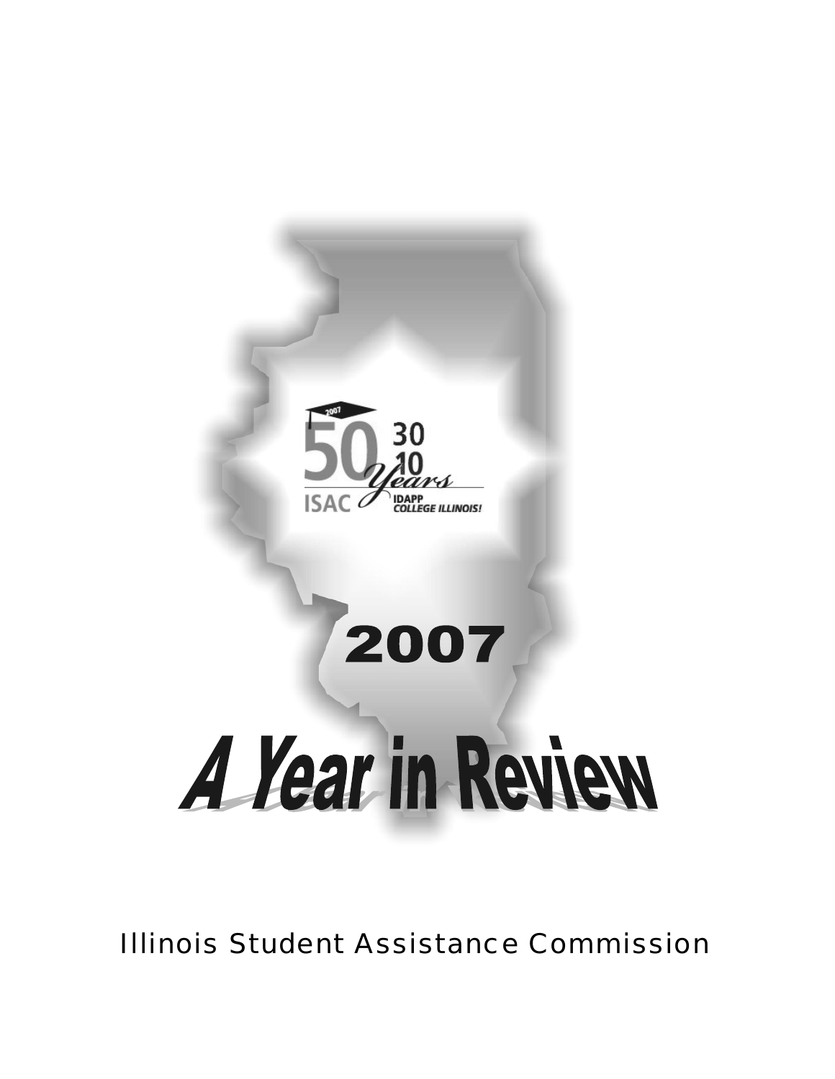# **The Illinois Student Assistance Commission:**



*A proud history of helping make college affordable* 

| July<br>1957   | Legislation is passed by the Illinois General Assembly and signed by Governor William Stratton to create the<br>Illinois State Scholarship Commission (ISSC). The purpose of the new agency is to increase access to college for<br>Illinois students by offering scholarships and grants.                                                                                                                             |
|----------------|------------------------------------------------------------------------------------------------------------------------------------------------------------------------------------------------------------------------------------------------------------------------------------------------------------------------------------------------------------------------------------------------------------------------|
| 1958           | The precursor to today's State Scholar Program, the first honorary scholarships are awarded to academically-<br>talented students with no financial need.                                                                                                                                                                                                                                                              |
| 1965           | Federally guaranteed loans for college are first authorized by the federal Higher Education Act of 1965 (HEA).<br>Illinois legislation establishes the Illinois Guaranteed Loan Program (IGLP) with ISSC as the guaranty agency.                                                                                                                                                                                       |
| 1967           | The first need-based college grant is issued under the new Monetary Award Program (MAP). Eventually, four<br>million MAP awards will be issued by ISSC/ISAC between 1967 and 2007.                                                                                                                                                                                                                                     |
| 1976           | The National Guard Scholarship Act awarded scholarships to enlisted persons who had served at least one year<br>in the Illinois National Guard or Naval Militia. This would later become the Illinois National Guard (ING) Grant<br>Program for active duty Illinois Army or Air National Guard members.                                                                                                               |
| 1977           | To help ensure access to loans for Illinois students, ISSC expands into other aspects of the student loan industry,<br>becoming a secondary market to purchase both performing and delinquent student loans through its Illinois<br>Designated Account Purchase Program (IDAPP).                                                                                                                                       |
| 1986           | ISSC is the designated agency in Illinois to administer the federal Paul Douglas Teacher Scholarship Program<br>providing gift assistance to outstanding high school graduates to pursue teaching careers.                                                                                                                                                                                                             |
| July<br>1987   | The State of Illinois repeals the requirement that a borrower be an Illinois resident to be eligible for an ISSC loan<br>guarantee. The agency begins to act as a guarantor on a nationwide basis.                                                                                                                                                                                                                     |
| 1988           | The State of Illinois holds first bond sale for College Savings Bonds and charges ISSC with responsibility to<br>administer a Bonus Incentive Grant Program when proceeds of the bonds are used for attendance at Illinois<br>colleges and universities.                                                                                                                                                               |
| 1989           | Intending a broader role for the agency, legislation re-names the "Illinois State Scholarship Commission" as the<br>"Illinois Student Assistance Commission" (ISAC).                                                                                                                                                                                                                                                   |
| 1991           | Legislation creates the Minority Teachers of Illinois (MTI) Scholarship Program to encourage minority students to<br>enter the field of teaching and teach in schools with at least a 30% minority population.                                                                                                                                                                                                         |
| 1993           | The federal Student Loan Reform Act of 1993 establishes the Federal Family Education Loan Program and the<br>William D. Ford Direct Loan Program with competing programs for students and parents.                                                                                                                                                                                                                     |
| 1994           | ▶ With many Illinois colleges choosing to participate in direct lending, ISAC embarks on a national lending strategy.                                                                                                                                                                                                                                                                                                  |
| 1994 -<br>1995 | Two new gift assistance programs for students planning to pursue teaching careers are made available – the<br>Special Education Teacher Tuition Waiver and the DeBolt Teacher Shortage Scholarship Program (later to<br>become the Illinois Future Teacher Corps Program). Students must fulfill a service commitment upon graduation.                                                                                 |
| 1995           | ISAC is the designated entity in Illinois to administer the federal Robert C. Byrd Honors Scholarship Program<br>providing scholarships to exceptional high school graduates.                                                                                                                                                                                                                                          |
| 1995           | Illinois legislation authorizes ISAC to originate loans.                                                                                                                                                                                                                                                                                                                                                               |
| 1996           | The first awards to college freshmen are made under the Silas Purnell Illinois Incentive for Access (IIA) Program.                                                                                                                                                                                                                                                                                                     |
| 1996           | SAC originates alternative loans beginning with the fall term.                                                                                                                                                                                                                                                                                                                                                         |
| 1997           | Illinois families are afforded a tax-advantaged method of saving for college through the Illinois Prepaid Tuition<br>Program called College Illinois. <sup>6M</sup> .                                                                                                                                                                                                                                                  |
| 2003           | The Illinois Teachers and Child Care Providers Loan Repayment Program and Illinois Future Teacher Corps<br>Program are created to reward and assist Illinois students who teach in high-need and specialty areas. Also,<br>ISAC introduces a coordinated approach to informing students about planning and paying for college; College<br>Zone includes a Web site, toll-free call centers, publications and outreach. |
| 2006 -<br>2007 | Three programs designed to reduce the shortage of nurses in Illinois are created - Nurse Educator Scholarship<br>Program, Nurse Educator Loan Repayment Program, and Veterans' Home Nurse Loan Repayment Program.                                                                                                                                                                                                      |
| 2007           | Through portfolio restructuring, the percentage of Illinois borrowers in the ISAC loan portfolio rises from 29 percent<br>to 78 percent.                                                                                                                                                                                                                                                                               |
| Fall 2007      | The College Illinois! <sup>SM</sup> Capstone Loan Program pilot is launched to make low-interest loans with "salary-sensitive"<br>interest rates to college seniors.                                                                                                                                                                                                                                                   |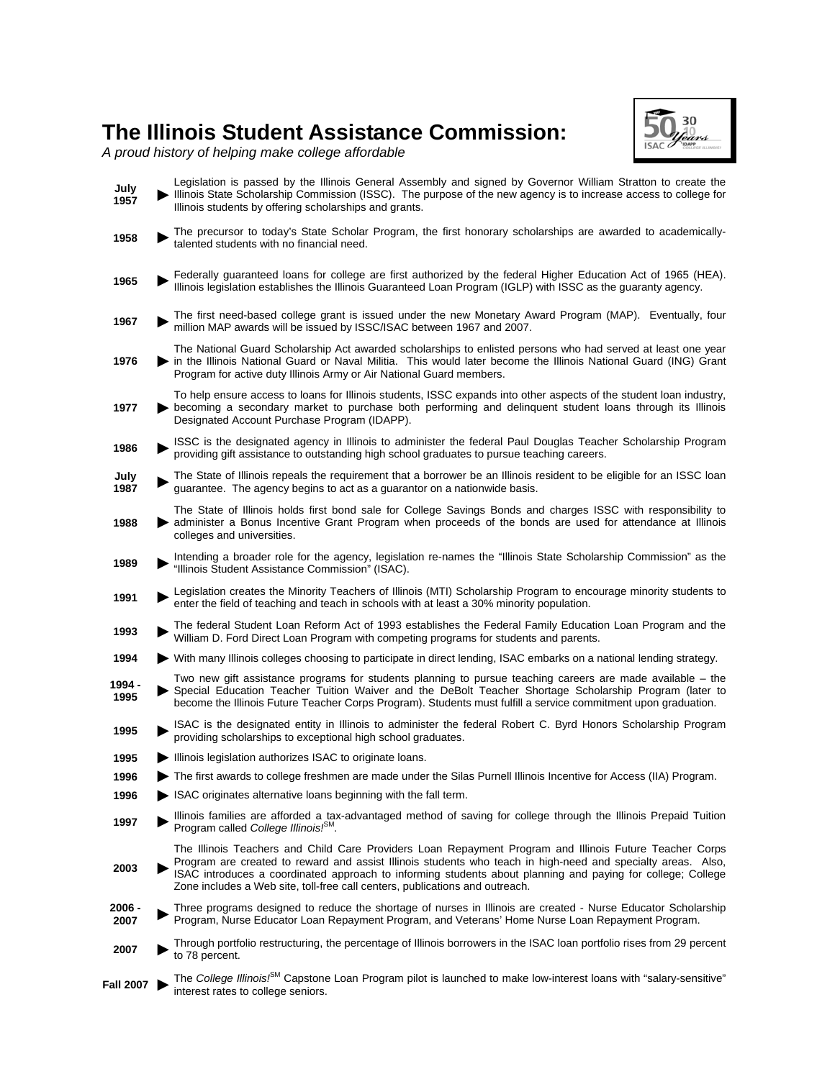# **Table of Contents**

| A 50-year history of making college affordable                                                                    |  |
|-------------------------------------------------------------------------------------------------------------------|--|
|                                                                                                                   |  |
|                                                                                                                   |  |
|                                                                                                                   |  |
| ISAC stays ahead of the curve                                                                                     |  |
| Loan sale summary and bonds defeased                                                                              |  |
| Restructured/simplified debt portfolio                                                                            |  |
|                                                                                                                   |  |
| Illinois' prepaid tuition plan celebrates 10 <sup>th</sup> anniversary                                            |  |
| \$448 million to 181,526 students                                                                                 |  |
| Veterans, the needy, future teachers                                                                              |  |
| Trailblazing initiative helps college seniors "cross the finish line"                                             |  |
| Breaking New Ground: Illinois Veterans' Home Nurse Loan Repayment Program 13<br>Helping those who help our heroes |  |
| Building partnerships with parents, local communities                                                             |  |
| Broad collaborations, sensible solutions                                                                          |  |
| Multifaceted outreach strategy fuses high-tech with grass-roots organizing                                        |  |
| Financial literacy efforts help students curb debt                                                                |  |
| ISAC's resource for students, parents, counselors, financial aid advisors and lenders                             |  |
| An interactive resource to help students plan for careers and college                                             |  |
| A tribute to "the best and brightest" of Class of 2008                                                            |  |
|                                                                                                                   |  |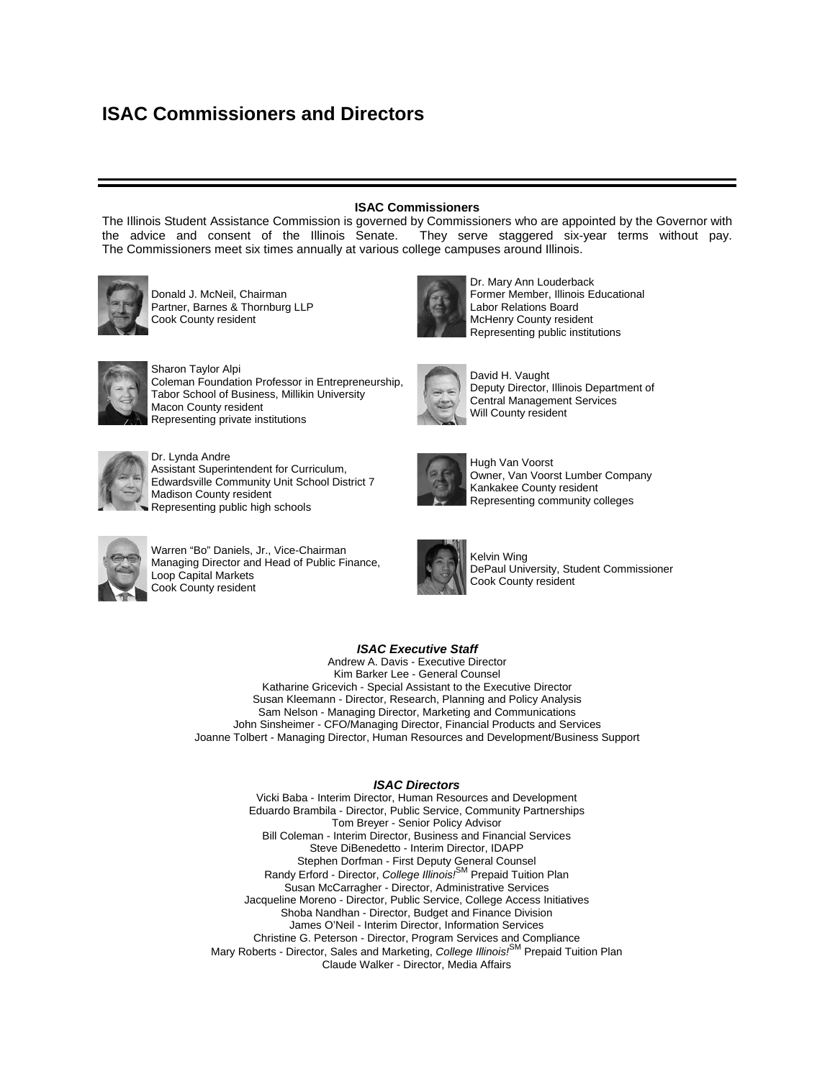### **Message from ISAC Chairman Donald J. McNeil**



In 1956, Illinois Governor William Stratton convened a task force to examine the need to boost access to higher education. The recommendations of this panel were contained in "*The Illinois State Scholarship Act of 1957*," which was passed with bipartisan sponsorship by the General Assembly and signed into law by Stratton in July 1957. Stratton named seven commissioners to the agency (then called the State Scholarship Commission) who met in September, 1957. Soon, Dr. Lyman Smith was named Executive Director of the fledgling agency, two staff persons were hired, a Deerfield office was opened and the first scholarship - one based on both "academic promise and financial need" - was awarded.

Fifty years later, the agency has a new name suggesting a broader role - the Illinois Student Assistance Commission (ISAC) - and a track record of having helped millions of students attend college. The agency now offers a range of scholarship and grant

programs, a prepaid tuition savings program, a wide array of initiatives to help families plan for college and an engaging Web site Governor Stratton could not have imagined.

In recent years, ISAC's role evolved. College costs spiked, more students were forced to take out loans to pay for college, and the student loan industry became big business. As a lender and guarantor of student loans, the agency began serving a national client base. Recent economic developments, however, required us to return to our original (and primary) role: to make college affordable for every Illinois resident.

In 2006, we made a strategic choice to exit the business of making loans to non-Illinois borrowers and instead place greater emphasis on Illinois students. We could not ask Illinois taxpayers to subsidize a Nevada student attending an Ohio college. And our timing could not have been better. Recent events in the credit markets and student loan industry have confirmed that holding on to our \$3 billion non-Illinois loan portfolio would have cost Illinois taxpayers tens of millions of dollars. The 2007 sale of our "non-Illinois-nexus" loans and organizational restructuring will enable us to achieve new efficiencies at ISAC, and better prepare us for our next 50 years.

I am proud of the Commissioners who oversee the agency. They hail from diverse backgrounds and regions, but have been united in finding creative solutions to the challenges facing ISAC and making the truly tough choices they were asked to make. These dedicated, unpaid citizens have given extraordinary time and thought to the cause of accessible higher education and deserve the gratitude of all Illinois residents.

Let me also salute our new Executive Director - Andrew Davis - who was greeted with a baptism of fire upon assuming the reins in January, 2007. His financial acumen, higher education experience and vision made him the perfect leader as ISAC faced (and overcame) challenges a state agency rarely encounters. Along with John Sinsheimer, our new chief financial officer, Kim Barker Lee, our new chief legal counsel, and a bright and energetic senior staff, Andy steered a course through choppy financial waters with remarkable skill and creativity. In addition, I commend all of the staff at ISAC for their dedication and professionalism in providing outstanding products and services to Illinois students and families during these changing times in higher education and the student loan industry.

Our anniversary year - which included the 30th anniversary of the Illinois Designated Account Purchase Program and 10th anniversary of the *College Illinois!*SM prepaid tuition program - will be viewed as a pivotal, watershed moment in ISAC's history. I'm confident that in 2008, ISAC will be an even more effective advocate for college affordability as we work toward our ultimate goal – to make sure that every Illinois student who works hard enough to gain admission to an Illinois college will get the financial help he or she needs to attend the school of his or her choice.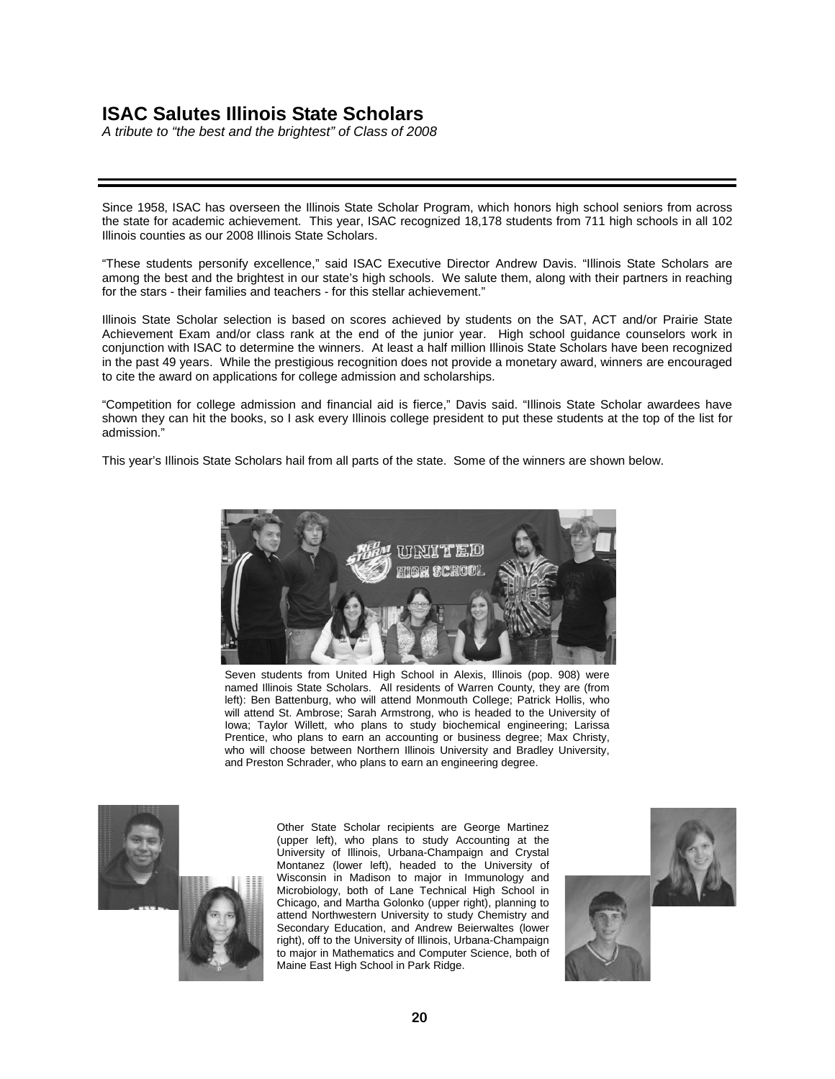## **Message from ISAC Executive Director Andrew Davis**



One year ago, I was honored to be named Executive Director of the Illinois Student Assistance Commission, only the fourth Executive Director in ISAC's proud 50-year history. Multiple challenges were immediately posed: how to steer ISAC through the uncertain currents of a rapidly-changing student loan industry, how to address the emerging needs of a very different student population, how to modernize and recast a 50-year-old agency, and how to do more with less.

The most pressing challenge was to stem the losses from our student loan portfolio. In 2006, we lost \$6 million - mostly in loans made to out-of-state residents attending out-ofstate schools - and trends indicated further losses. The agency was suddenly operating in a much more competitive environment. The federal College Cost Reduction and Access Act of 2007 (CCRAA) and the soaring cost of borrowing spurred by the subprime mortgage crisis (page 5) forced us to act quickly.

In three transactions, we sold about \$3 billion of our \$4.2 billion student loan portfolio. This enabled us to pay down \$3.3 billion in debt, while covering the cost of the MAP Plus Program and a portion of our Monetary Award Program (MAP). In fact, in 2007, ISAC administered \$448 million in scholarships and grants to Illinois students, made \$250 million in student loans, and guaranteed another \$1.8 billion in loans to 208,000 students and families.

Selling the portfolio was a prudent move. Had we kept it, we would have lost an additional \$12 million due to the CCRAA alone, and another \$15 million due to the higher cost of borrowing. Still, the losses that we experienced forced another tough decision: a workforce reduction. Beginning last summer, senior management undertook a thorough agency-wide evaluation of all job functions. We identified 50 positions that were no longer essential and could be eliminated. The process was methodical and difficult, and the result is a more streamlined operation to better serve Illinois students, families and taxpayers.

This self-evaluation, restructuring and belt-tightening offered a chance to re-define and re-invigorate ISAC. We are more focused on helping Illinois students and are operating more economically, without losing the capacity to provide core outreach functions. We are leaner and more agile, so we can try innovative approaches, such as the *College Illinois!*SM Capstone Loan Program (page 12) and College Access Vertical Teams (page 14). One new idea being developed with the Illinois Education Foundation and Aetna is an innovative pilot program to cut dropout rates among low-income nursing students at Prairie State Community College by providing mentoring, tutoring and life coaching.

Such cutting edge - yet sensible - solutions must be employed to reach today's college student. The face of the typical Illinois college student is changing: students are older, there are more female and minority students than ever, and many are veterans or the first in their family to apply to college. Since taking the helm, I have tripled the size of ISAC's Public Service staff to better counsel these hard-to-reach students across the state.

To better address this changing population, ISAC's diverse workforce has drastically increased our outreach efforts in ethnic communities. (In fact, one of the highlights of my summer was marching in the spectacular Bud Billiken Parade, carrying a banner that urged millions of parade watchers to start planning now for college.) Further, ISAC's workforce is notable for the large number of women we have in both the general workforce (more than 60 percent) and in management positions. In fact, females comprise two-thirds of our Senior Management Team.

We are committed to providing excellent customer service to students and borrowers through our College Zone Outreach Centers, Web site, live phone operators and constituent services staff. In 2007, ISAC staffers cut through college financial aid red tape to directly assist 275 constituents referred by members of Illinois' Executive Branch, Congressional delegation and General Assembly, along with tens of thousands of people who reached us directly by phone, the Internet or in person.

In 2008, we will continue to provide these customer and outreach services, operate efficiently and tirelessly promote our mission of making college affordable for all Illinois students.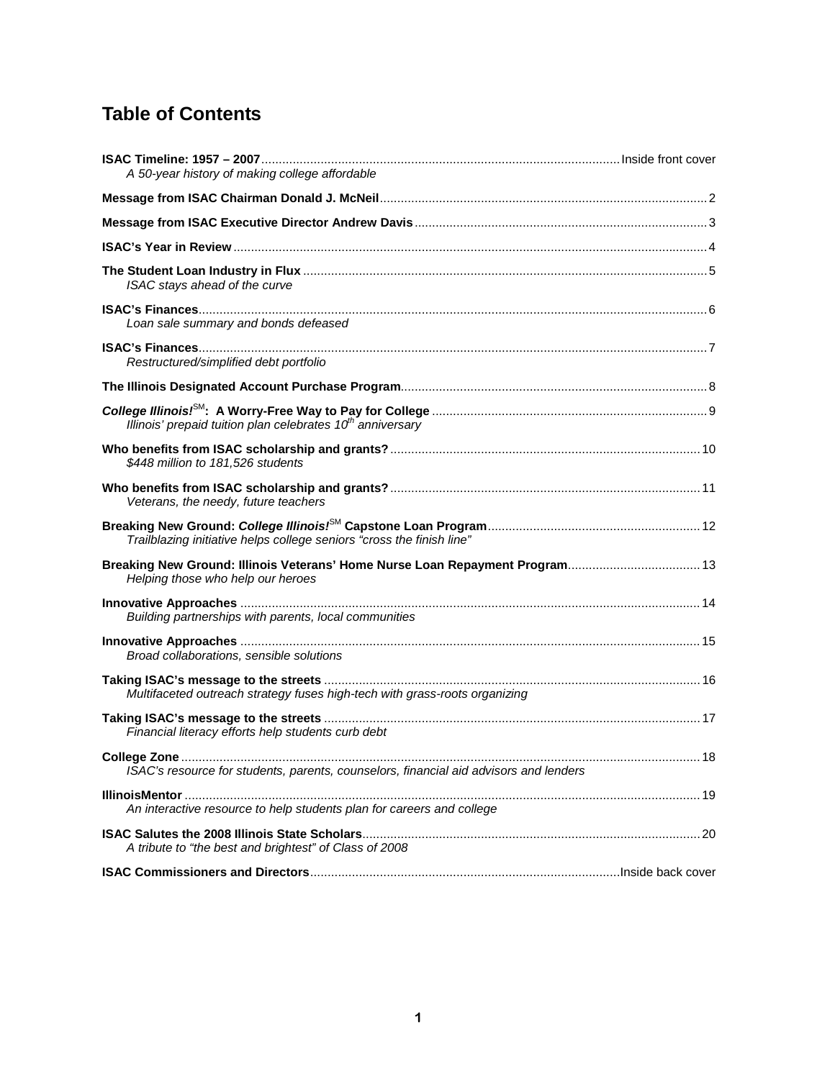### **ISAC's Year in Review**

In 2007, three milestone anniversaries of proudly serving the families of Illinois were observed. The Illinois Student Assistance Commission (ISAC) reached our 50th year, having been established in 1957; the Illinois Designated Account Purchase Program (IDAPP) secondary market division turned 30 years old; and the College Illinois!<sup>SM</sup> Prepaid Tuition Plan celebrated ten years since its inception. Although 2007 was a year of celebration and acknowledgement, it was also a time of transition for the agency. With a relatively new slate of Commissioners and approaching the half-century mark, newly-appointed Executive Director Andrew Davis led ISAC into a period of selfexamination.

During that time, a number of outcomes became clear. First and foremost, ISAC's mission remains fundamentally the same as it was 50 years ago – to increase access to and make college affordable for Illinois students. At the same time, it became evident that, due to a combination of factors - including limited state dollars for our scholarship and grant programs, total responsibility for our administrative budget, increased borrowing costs, and impending cuts by the federal government - ISAC had reached an economic crossroads.

To meet our program funding and administrative obligations, and to better financially position ISAC for its next 50 years, a series of sales of portions of ISAC's student loan portfolio was undertaken. The revenue generated by the sales allowed us to retire approximately \$3.3 billion in debt, afforded some protection from the impact of the federal cuts and realigned our remaining loan portfolio into a more "Illinois-centered" demographic. More significantly, we also used those proceeds to fund both a new state initiative for middle-income families – the MAP Plus Program – and a portion of our Monetary Award Program (MAP), for a total amount of \$53.3 million. In spite of the challenges faced by the Commission this year, the success of our mission of making college affordable for Illinois students was evident in many areas:

- Through MAP and MAP Plus, ISAC provided over \$410 million in need-based grants to more than 206,000 Illinois students. MAP helped pay tuition and fee costs for students attending Illinois public and private universities, community colleges and qualifying proprietary institutions. Over 20,000 freshman students with no family resources also benefited from the Silas Purnell Illinois Incentive for Access (IIA) Program, receiving an additional grant of up to \$500 to help cover educational expenses.
- Students meeting the qualifications of our specialized scholarship and grant programs, including those for residents who are serving or have served in the military, prospective teachers and health care professionals, and dependents of police, fire and correctional officers, received awards of nearly \$35 million.
- To aid students in achieving their educational goals, ISAC guaranteed more than \$1.8 billion in loans for more than 208,000 borrowers through our role as guarantor in the Federal Family Education Loan Program (FFELP). Supplementing the federal loan programs, IDAPP's alternative loans provided more than \$47.8 million in funds to help meet college costs not covered by the Federal Stafford and PLUS Loan Programs. In its capacity as a lender, IDAPP also disbursed more than \$213.3 million in student, parent and consolidation loans. As in past years, ISAC reduced borrowers' loan costs by paying the 1% federal default fee (previously guarantee fee) for a savings of approximately \$50 per loan, and IDAPP's Low Cost Borrower Benefits Program reduced interest rates on loans with good payment histories by as much as 2.25%.
- The *College Illinois!<sup>SM</sup>* Prepaid Tuition Plan helped more families prepay the future costs of college, having sold more than 57,000 contracts in its ten-year history.
- The "College Zone" concept of assisting the college-bound students of Illinois and their families, was further enhanced with the addition of a Career Center and test preparation features to its IllinoisMentor component. These interactive functions enable students to research future careers, match personal skills and interests to possible fields of endeavor and better prepare for achievement and admission tests.
- The *College Illinois!*<sup>SM</sup> Capstone Loan Program was created and launched for the fall of 2007 in a pilot phase. Seven colleges and universities in diverse areas of Illinois participated in the pilot. The Capstone program was designed for college seniors who have exhausted other financial aid options, but need assistance in the final year to achieve their educational goals. A Capstone loan also has interest rate reduction benefits for borrowers who meet Illinois residency requirements and are in lower-paying careers. Plans to expand the pilot are proceeding.

As we look ahead to our next 50 years, our goals include making the agency stronger and sharpening our focus on the programs, services and products that provide comprehensive solutions to the families of Illinois. Together with you, our colleagues, we can help make educational dreams come true.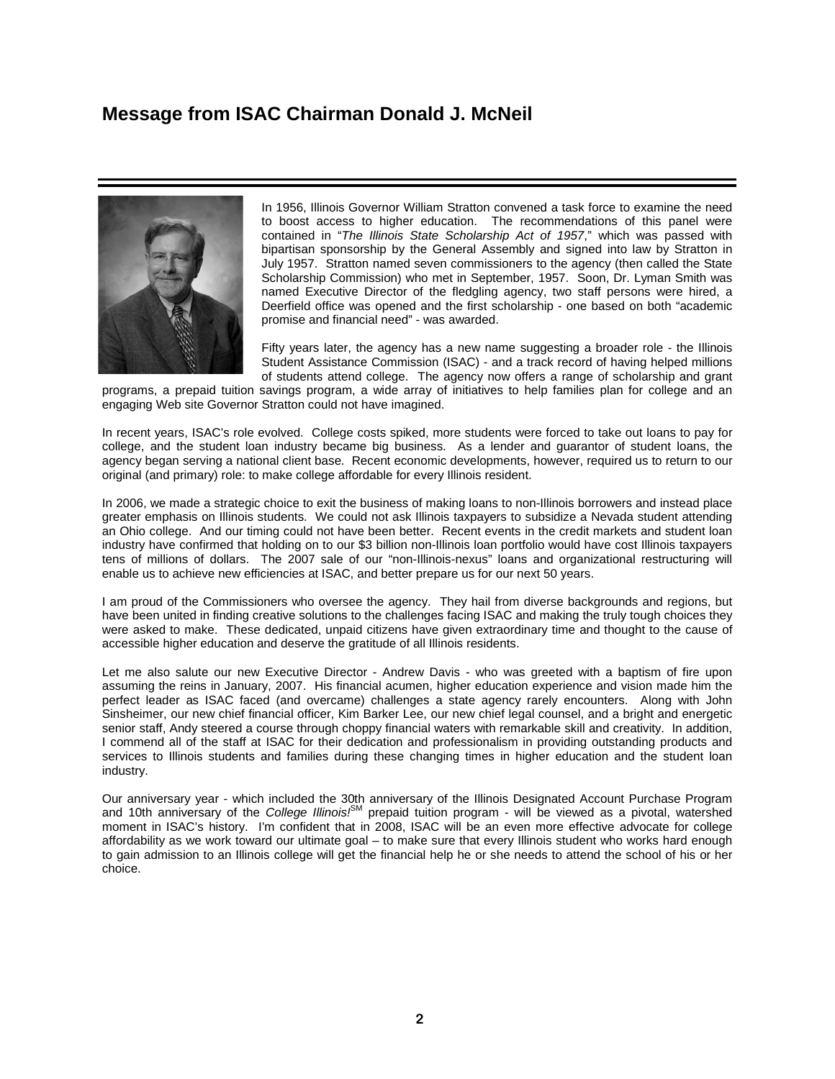### **The Student Loan Industry in Flux**

*ISAC stays ahead of the curve*

The student loan industry was rocked in 2007. New federal legislation, the global credit crunch, and alleged improprieties by some schools and lenders contributed to unprecedented changes in the landscape. ISAC has so far navigated the crisis while other lenders and guarantors have struggled to survive.

#### **Challenging trends emerge**

In late 2006, federal cuts to lender payments were looking increasingly likely, while competitive market pressures, volatile interest rates, and a burgeoning number of loan consolidations were threatening the ISAC student loan portfolio's profitability. In an effort to limit the agency's exposure to these risks – to take such chances only on behalf of Illinois students and institutions – ISAC began in January 2007 a process of selling part of its student loan portfolio. In particular, the agency put out for bid those loans made to out-of-state students attending non-Illinois schools.

These sales:

- boosted the proportion of "Illinois-nexus" loans from 29 percent to more than 75 percent;
- enabled ISAC to pay down \$3.3 billion in debt, as well as cover the cost of MAP Plus grants and a portion of the Monetary Award Program (MAP) to help lower- and middle-income students attend college, and
- insulated the agency, Illinois taxpayers and Illinois students from greater losses as even bigger challenges took root.

#### **Federal action cuts revenue**

On October 1, 2007, the federal College Cost Reduction and Access Act of 2007 (CCRAA) took effect, resulting in dramatically reduced federal payments to ISAC and other guarantors and lenders of federal loans. While the CCRAA does many positive things – increasing federal Pell grants for the neediest students, for example – it also cuts \$21 billion in federal payments to lenders and guarantors over the next five years.

The annual loss in revenue to ISAC due to the CCRAA is projected to be \$9 million; if ISAC had retained the entire portfolio, the losses would have been nearly \$20 million.

#### **Global credit crunch spurs increase in cost of borrowing**

The cost of borrowing soared after the August 2007 meltdown in the global financial markets. Investors who had witnessed the subprime mortgage debacle grew increasingly skeptical of the commercial financial market, including the debt instruments that have been some of the student loan industry's most frequently used means for financing new loans.

This disruption in the markets may cost ISAC an additional \$6 million annually in unexpected borrowing costs. However, the crisis would have proved even tougher on the "old ISAC." Had the agency not paid down the majority of its debt, the cost of borrowing would likely have been \$21 million higher.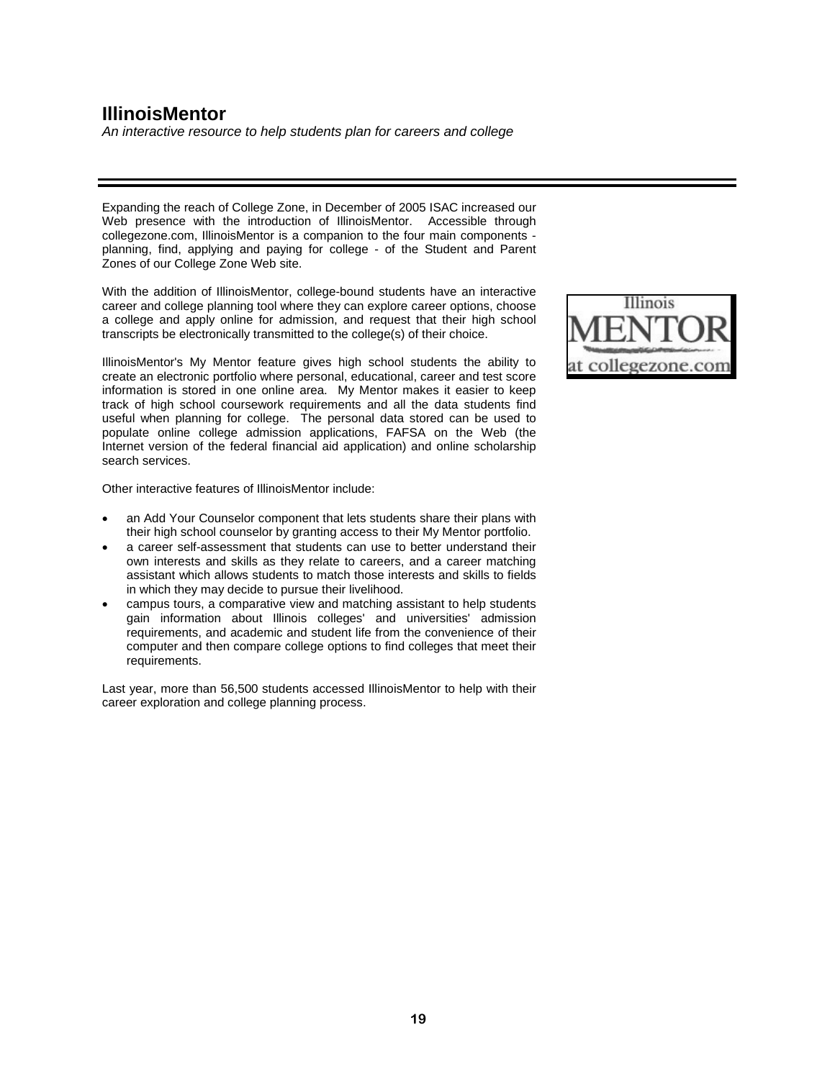# **ISAC's Finances**

*Loan sale summary and bonds defeased*

### **Loan Sale Summary:**

|                    | <b>Par Value of Loans</b><br><b>Premium</b><br>Sold |                         |            |
|--------------------|-----------------------------------------------------|-------------------------|------------|
| January Loan Sale: | \$628 million                                       | \$37.2 million          | %<br>5.90% |
| July Loan Sale:    | \$1.38 billion                                      | \$46.9 million<br>3.40% |            |
| August Loan Sale:  | \$1.06 billion                                      | \$30.3 million          | 3.00%      |
| Total              | \$3.068 billion                                     | \$114.4 million         | 3.70%      |

### **Bonds Defeased/Called through 10-04-2007:**

| TOTAL                       |     | \$ 3,308,730,000 |
|-----------------------------|-----|------------------|
| <b>VRDN All Series</b>      |     | 259.700.000      |
| Series 2004 VI-1, VI-2, VII | \$. | 210,000,000      |
| Series 2003 III-2, IV-2, V, | \$  | 187,650,000      |
| Series 2002 1-1, 1-2,       | S   | 140,000,000      |
| 2002 Trust                  |     |                  |
| 2001 Trust-All Series       | \$  | 881,200,000      |
| 1995 Trust-All Series       | \$  | 940,000,000      |
| 1992 Trust-All Series       | \$  | 690,180,000      |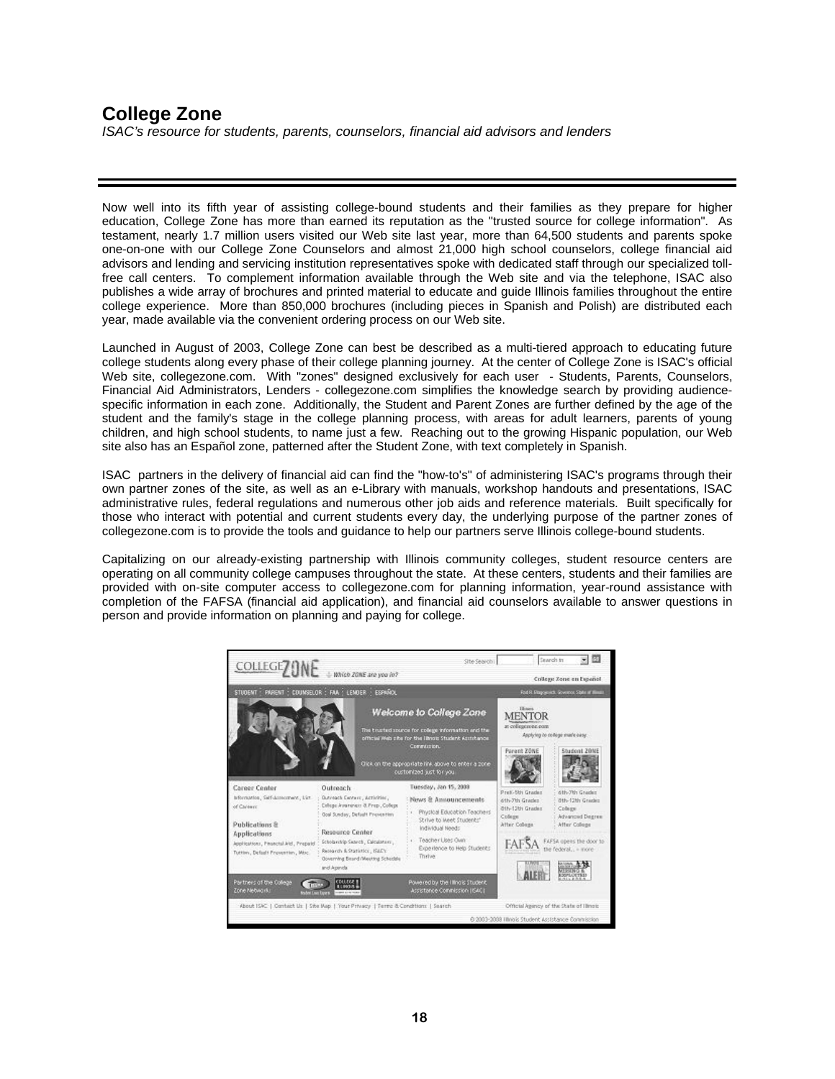# **ISAC's Finances**

*Restructed/simplified debt portfolio*

### **2002 Resolution: Outstanding Issues post Restructuring**

| <b>Series</b> | <b>Payment Priority</b> | <b>Rate Reset Frequency</b> | <b>Maturity</b> | <b>Outstanding Par Value</b><br><b>Post Restructure</b> |
|---------------|-------------------------|-----------------------------|-----------------|---------------------------------------------------------|
| 2002 -3       | Senior                  | 28 days                     | 3/1/2042        | \$<br>70,000,000                                        |
| 2002 II       | Subordinated            | 28 days                     | 3/1/2042        | \$<br>30,000,000                                        |
| 2003 IV-1     | Senior                  | 28 days                     | 3/1/2043        | \$<br>88,150,000                                        |
| 2003 IV-3     | Senior                  | 28 days                     | 3/1/2043        | \$<br>21,400,000                                        |
| 2004 VI-3     | Senior                  | 28 days                     | 3/1/2044        | \$<br>75,000,000                                        |
| 2005 VIII-1   | Senior                  | 28 days                     | 3/1/2045        | \$<br>70,000,000                                        |
| 2005 VIII-2   | Senior                  | 28 days                     | 3/1/2045        | \$<br>70,000,000                                        |
| 2005 VIII-3   | Senior                  | 28 days                     | 3/1/2045        | \$<br>80,000,000                                        |
| 2005 VIII-4   | Senior                  | 28 days                     | 3/1/2045        | \$<br>50,000,000                                        |
| 2005 VIII-5   | Senior                  | 28 days                     | 3/1/2045        | \$<br>60,000,000                                        |
| 2005 VIII-6   | Senior                  | 28 days                     | 3/1/2045        | \$<br>70,000,000                                        |
| 2005 VIII-7   | Senior                  | 28 days                     | 3/1/2045        | \$<br>80,000,000                                        |
| 2005 VIII-8   | Senior                  | 28 days                     | 3/1/2045        | \$<br>80,000,000                                        |
| 2005 IX-1     | Subordinated            | 28 days                     | 3/1/2045        | \$<br>20,000,000                                        |
| 2005 IX-2     | Subordinated            | 28 days                     | 3/1/2045        | \$<br>20,000,000                                        |
|               |                         |                             |                 | 884,550,000                                             |
|               |                         | <b>Total Senior</b>         |                 | \$<br>814,550,000                                       |
|               |                         | % Senior                    |                 | 92.1%                                                   |
|               |                         | Total Subordinated          |                 | \$<br>70,000,000                                        |
|               |                         | %Subordinated               |                 | 7.9%                                                    |

### **Restructured/Simplified Debt Portfolio:**

| <b>Total Available Credit/Debt Issues Outstanding</b> |    |               |                                    |  |  |
|-------------------------------------------------------|----|---------------|------------------------------------|--|--|
| <b>Pre Loan Sales and Restructure</b>                 |    |               |                                    |  |  |
| 1992 Resolution                                       | \$ | 690,180,000   | <b>FFELP and Alternative Loans</b> |  |  |
| 1995 Resolution                                       | \$ | 940,000,000   | <b>FFELP and Alternative Loans</b> |  |  |
| 2001 Resolution                                       | \$ | 881,200,000   | <b>FFELP and Alternative Loans</b> |  |  |
| 2002 Resolution                                       | \$ | 1,432,200,000 | <b>FFELP and Alternative Loans</b> |  |  |
| Five series of VRDN's                                 |    | 259,700,000   | <b>FFELP and Alternative Loans</b> |  |  |
| Bank of America Warehouse Line                        | \$ | 500,000,000   | FFELP                              |  |  |
| Total                                                 |    | 4,703,280,000 |                                    |  |  |
| <b>Post Loan Sales and Restructure</b>                |    |               |                                    |  |  |
| 2002 Resolution                                       | \$ | 884,550,000   | <b>FFELP ONLY</b>                  |  |  |
| Citibank Warehouse Line                               | \$ | 500,000,000   | Alternative Loans*                 |  |  |
| Total                                                 | \$ | 1,384,550,000 |                                    |  |  |

\* Amended 10/2007 with a \$150 million sub limit for FFELP loans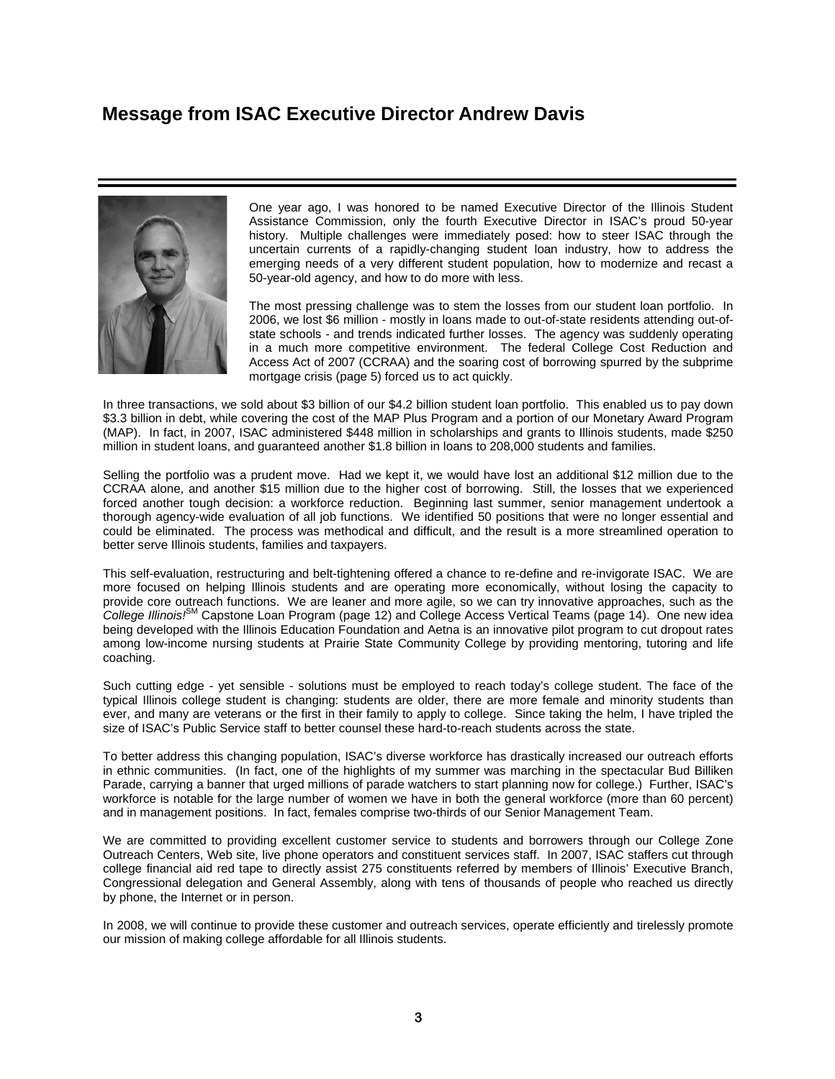## **The Illinois Designated Account Purchase Program**



*"The Low Cost Borrower Benefits Program will slash the amount of debt a student faces on graduation day. And by cutting the interest rate for borrowers who pursue vital but lower-paying careers such as teaching, we improve the quality of life for all Illinois residents." Andrew Davis* 

*Executive Director ISAC* 

For three decades, the Illinois Designated Account Purchase Program (IDAPP) has been originating loans and providing exceptional services to Illinois and outof-state borrowers. During the past year, however, IDAPP has transitioned to a new "Illinois-nexus model", focusing on making loans to students attending Illinois schools

As the current student loan market continues to be volatile, IDAPP remains committed to providing educational loans to the students and colleges of Illinois as evidenced by the newly created *College Illinois!* Capstone Loan program (page 12). Additionally, many Illinois colleges have asked IDAPP to assist with developing their preferred lender lists, including Western Illinois University, Illinois Wesleyan University, Rush University, Trinity International University, Saint Xavier University and Robert Morris College.

#### **New initiative will save typical college student \$2,600 while providing incentive to live and work in Illinois**

In December, IDAPP's Low Cost Borrower Benefits Program was introduced. Through this program, Illinois college students who receive federal Stafford loans may now be able to have as much as 1.8 percent cut from their interest rate.

The Low Cost Borrower Benefits Program slashes the cost of borrowing for Illinois college graduates whose careers may be in lower-paying fields, such as social work, teaching or health care. A borrower who has received a Stafford loan through ISAC's lending division - IDAPP - is eligible to cut the interest rate by obtaining Illinois employment, earning less than \$50,000 or enrolling in a direct debit program.

A student who borrows \$20,000 with a ten-year repayment period will save an estimated \$2,600 over the life of the loan under this initiative. The Low Cost Borrower Benefits Program cuts college costs in three ways:

- A 0.5 percent interest rate reduction is earned immediately for obtaining Illinois employment. Eligibility begins once the borrower has graduated, entered repayment and begun paying state income taxes.
- An interest rate reduction of 0.5 percent is applied if the borrower's annual income is between \$30,001 and \$50,000. A 1.0 percent interest rate reduction is applied if the borrower's annual income is \$30,000 or less.
- A 0.3 percent rate reduction is earned by enrolling in the direct debit program, through which the borrower may pay the loan directly from a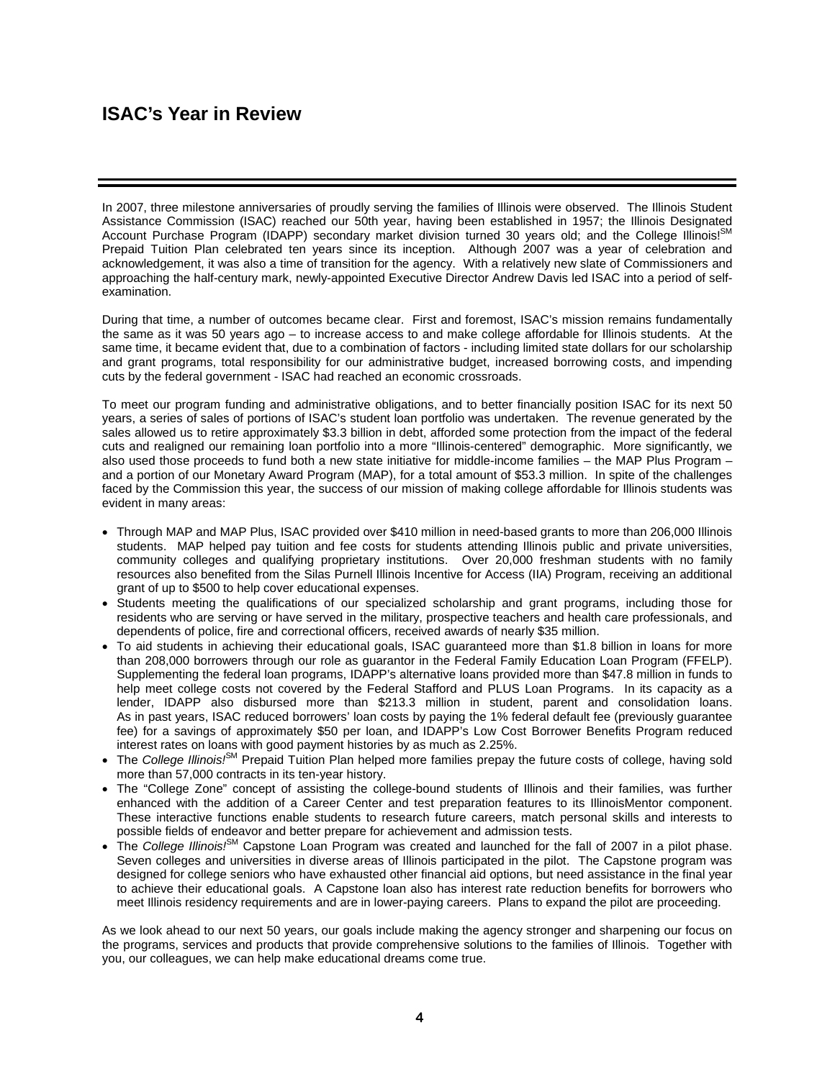## *College Illinois!*SM**: A Worry-Free Way To Pay For College**

*Illinois' prepaid tuition plan celebrates 10th anniversary*

Soaring college tuition. Volatile financial markets. Rising student loan debt. For most families, the cost of a college education may be the single most expensive purchase they ever make, other than perhaps purchasing a home. So, ten years ago, the State of Illinois created a 529 Prepaid Tuition Program called *College Illinois!*<sup>SM</sup>, administered by ISAC. The idea was to give Illinois families a tax-advantaged way to lock in the cost of future college tuition and fees today.

Since then, *College Illinois!*<sup>SM</sup> has grown into one of the nation's largest prepaid tuition plans. More than 57,000 contracts, valued at more than \$1.1 billion, have been purchased for more than 53,900 students. These contracts represent prepayment of nearly 180,000 years of college. *College Illinois!*<sup>6M</sup> contracts are not affected by stock market volatility or a loss in purchasing power due to tuition inflation. Similar to an insurance policy, *College Illinois!*<sup>SM</sup> is a contract between the purchaser and the State of Illinois that ensures future payment of tuition and fees for college. *College Illinois!*<sup>©M</sup> really means College Anywhere, since benefits may be used at any Illinois college, as well as colleges and universities, public or private, nationwide.

Plan earnings are 100 percent exempt from state and federal taxes. Purchasers also can claim a state tax deduction of up to \$10,000 (or \$20,000 per couple) on contributions used to pay for *College Illinois!<sup>6M</sup>* contracts. These same tax benefits extend to grandparents or other family members who give the gift of a college education through *College Illinois*<sup>6M</sup>.

Participants can purchase from one semester at a community college to nine semesters at a public university. Various payment options are available: participants may pay by lump sum or enroll in an installment plan. The Buy-A-Year approach is another popular way to begin building a financial plan to pay for college, by starting today and adding semesters over time. More information is available at collegeillinois.com.

*"I've never seen tuition rates go down, and to lock in at today's value really appealed to us."* **Mike C., Crystal Lake**



**College tuition costs for a child born in 2008 are projected to be as high as \$140,000.**



*College Illinois!*SM *mascots Tony Tuition and Rex the Exclamation Point hit the road recently on a 10-stop tour of Illinois to promote College Illinois!*SM *enrollment. Every year, thousands of families learn about this prepaid tuition program through free and paid media, Internet marketing and promotional events such as this one at the Old State Capitol in Springfield (left), or at other venues such as the University of Illinois-Northwestern football game in Champaign or the Halloween celebration at Chicago's Millennium Park (right). Rex and Tony also annually display their hockey skills at Chicago Wolves home games in Rosemont.* 

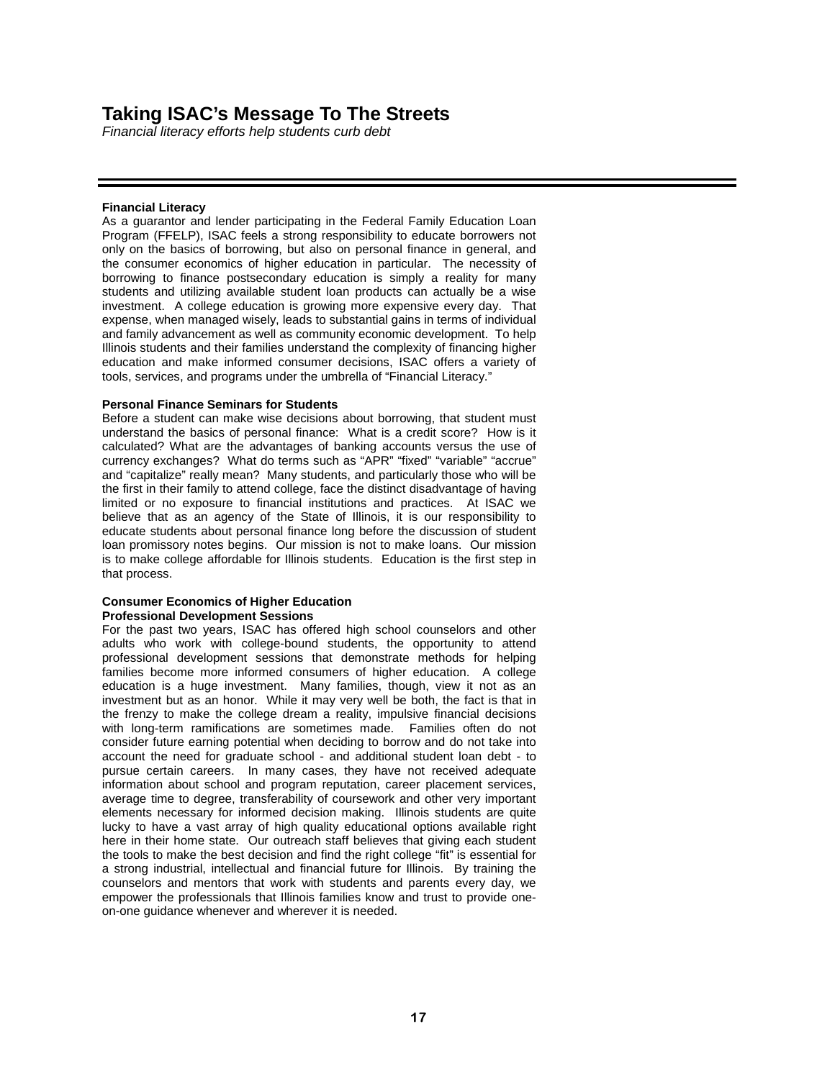### **Who Benefits From ISAC Scholarships and Grants?**

*\$448 million to 181,526 students*

ISAC administers more than a dozen different grants and scholarship programs. Some grants are issued based on need, such as the Monetary Award Program (MAP) and the Silas Purnell Illinois Initiative for Access Program. Others are designed to encourage students to pursue careers in such vital professions as teaching or nursing.

Last year, ISAC issued \$448 million in grants and scholarships to 181,526 Illinois students. Some of the larger program appropriations and number of recipients in 2007:

|                                              | <b>FY07 Appropriations</b> | <b>Recipients</b> |
|----------------------------------------------|----------------------------|-------------------|
| Monetary Award Program (MAP)                 | \$354,259,000              | 145,796           |
| Silas Purnell Illinois Initiative for Access | 8,200,000<br>S.            | 20,473            |
| Illinois Veteran Grants (IVG)                | \$19,250,000               | 10,964            |
| Illinois National Guard Grants               | 4,480,000<br>SS.           | 1.999             |
| Illinois Future Teacher Corps Scholarships   | 4,100,000<br>\$.           | 566               |
| <b>Minority Teachers Scholarships</b>        | 3,100,000<br>S.            | 601               |

The Monetary Award Program has been the state's cornerstone need-based college grant program. At least 4 million MAP grants have been awarded to students since the program was launched in 1967. The MAP grant provides payment toward tuition and mandatory fees at any Illinois public or private 2- and 4-year college, university or hospital school. The student must be an Illinois resident and not in default on any student loans. Eligibility is based on financial need and the maximum award depends on legislative action and available funding. Each academic year, the amount of the maximum annual award is the least of (1) the eligible amount as determined by an analysis of financial circumstances, (2) the maximum amount which ISAC allows for tuition and fees at the college, or (3) \$4,968.

The Monetary Award Program has expanded to accommodate the changing population of students and their needs. In 1974, the program was opened to half-time students. While some dependent students were helped by this change, the expansion significantly increased the number of independent students receiving aid. Less than 40 percent of MAP awards went to independent students before half-time awards were paid; today, nearly 50 percent of MAP awards go to independent students. In 1998, MAP was further expanded to include students attending proprietary institutions. Now, about 6,500 proprietary school students receive approximately \$18 million in MAP awards, nearly 5 percent of the dollars awarded.



William Alvarez, a Robert Morris College student in culinary arts, appeared at an ISAC Commission meeting in June to express his thanks for the MAP grant he received. "This grant is helping me to achieve my dreams and I really appreciate it, " Alvarez said.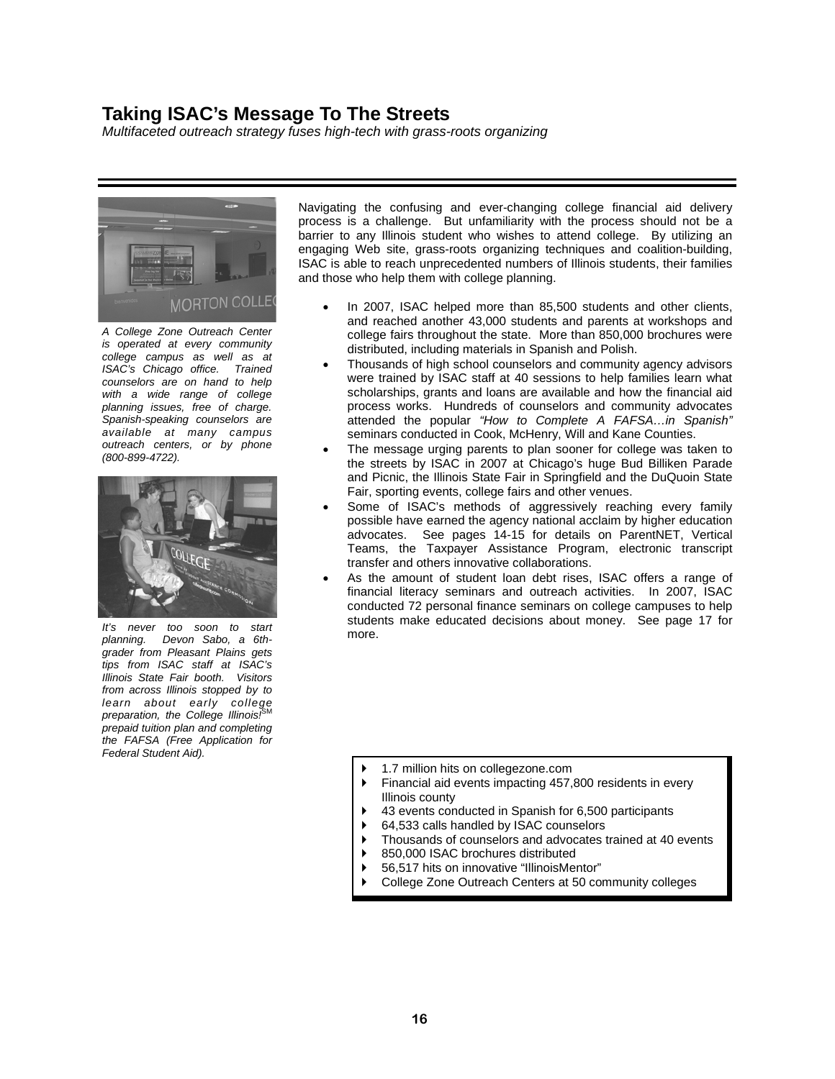### **Who Benefits From ISAC Scholarships and Grants?**

*Veterans, the needy, future teachers* 

#### **Silas Purnell Illinois Incentive for Access (IIA) Grant**

Named for one of the Tuskegee Airman and a Chicago education advocate who personally raised funds so that 60,000 students from disadvantaged families could attend college, the Silas Purnell Illinois Incentive for Access Grant provides up to \$500 to thousands of college freshmen who have no family resources.

#### **Illinois Veteran Grant (IVG)**

Since 1920, Illinois has been a national leader in helping military veterans attend college. Through the Illinois Veteran Grant Program created in 1967, Illinois public colleges and universities partnered with ISAC to waive tuition and mandatory fees for nearly 11,000 veterans during the 2006-07 academic year, a number which will likely increase as more troops return home. The General Assembly has appropriated about \$19 million to help cover the cost of IVG in each of the past six years. The program was created to honor Illinois veterans (including members of the Illinois National Guard or a Reserve component of the Armed Forces) with at least one year of federal active duty. All periods of service must have been honorable.

#### **Illinois National Guard (ING) Grant**

The Illinois Army and Air National Guard is comprised of 13,200 men and women based at 53 armories and three air bases. After one year of service, an Illinois National Guard member is eligible for the Illinois National Guard Grant which pays for tuition and certain fees at public 2- or 4-year Illinois colleges and universities. For the 2006-07 school year, nearly 2,000 National Guard members used the grant to help with college expenses.

#### **Illinois Future Teacher Corps (IFTC)**

The State of Illinois needs new teachers, at least 15,000 per year. The Illinois Future Teacher Corps Program—created by Governor Rod Blagojevich in 2003 - is a scholarship for academically talented students who plan to pursue careers as preschool, elementary and secondary school teachers in Illinois. Based on the teaching commitment made, awards may be up to \$5,000 or \$10,000 per year for payment of tuition, fees, room and board. Students with financial need, minority students and those planning to teach in a hard-to-staff school or teacher shortage discipline receive awarding priority.



Morton College sophomore Guadalupe Zarco, participated in a panel discussion with ISAC Executive Director Andrew Davis in Cicero last October. Describing herself as a single mom who comes from an immigrant family and works two jobs, Guadalupe told ISAC officials, "There are many people here at Morton who have gone through the same thing that I have." Davis said ISAC is aware of the "changing profile" of today's college students, who are older and more likely to be working parents. "Society is changing. Students over age 24 are the fastest-growing college-bound group and ISAC is res ponding to these new demographics."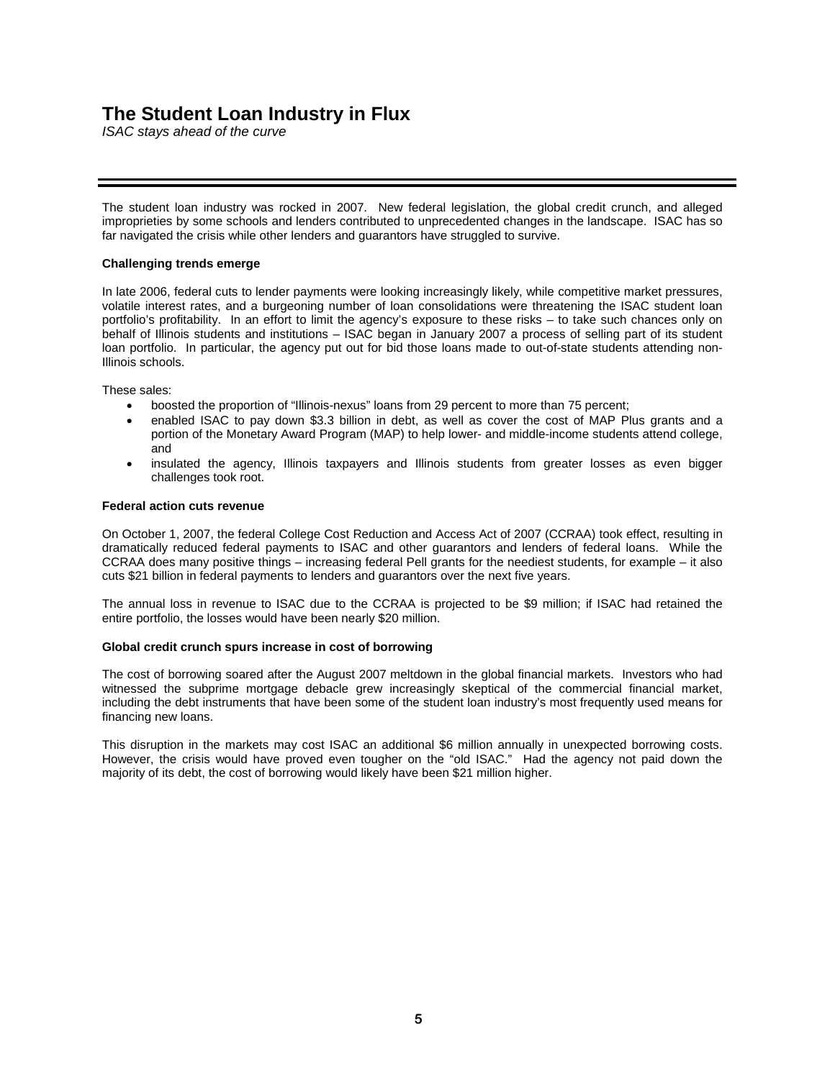## **Breaking New Ground:**  *College Illinois!*SM **Capstone Loan Program**

*Trailblazing initiative helps college seniors "cross the finish line"*

*"We have many students who must borrow to complete their college degrees but who are idealists in their vocation. That usually means a lowerpaid occupation, and the Capstone program can make their dreams and future*   $contributions$ *possible."* 

*Chancellor Sylvia Manning University of Illinois at Chicago* 



*"The Capstone Loan has made a huge difference with my finances and took away the most stressful part of my last year in college, which is worrying about paying rent and other living expenses. I'm thankful Capstone was created and that I was eligible."* 

**Chelsea Gunder Western Illinois University English Education major from Justice, Illinois** 

For many college seniors, the final year of school poses new financial burdens. Often, they have exhausted their grant, loan and other financial aid options. To address this problem, ISAC Executive Director Andrew Davis assembled a task force and charged it with designing a low-interest loan program to ensure that all of the other aid or loans these students received was not in vain. The result was the trailblazing *College Illinois!*SM Capstone Loan program.

The first of its kind in the nation, the *College Illinois!*<sup>6M</sup> Capstone Loan program is designed to "help college seniors cross the finish line" and keep Illinois students in Illinois. It includes a "salary-sensitive" interest rate component to help students who pursue crucial but lower-paying jobs (such as teachers or social workers), and students who plan to pursue careers in regions of the state with lower salary levels. The loan's interest rate starts at 8 percent, but there are unique interest rate reductions for students who are residents of the state (paying individual income taxes in Illinois) and work in Illinois or earn lower salaries, such as:

- A 1 percent interest rate reduction can be earned immediately for obtaining Illinois employment. Regardless of income, this benefit can be earned once the borrower has graduated, entered repayment and begun paying state income taxes. Annual proof of Illinois employment is required.
- A rate reduction of 1 percent will be applied if the borrower's annual income is between \$30,001 and \$50,000. A rate reduction of 2 percent will be applied if the borrower's annual income is \$30,000 or less. Annual proof of income is required.
- If the borrower works full time and has an annual income of \$30,000 or less, the outstanding balance on the loan may be reduced by 2 percent upon the completion of each series of 12 consecutive, on-time payments.

"By offering interest rate reductions for borrowers who stay in Illinois, we curb 'brain drain' and keep our new college graduates closer to home," Davis said. "And by reducing the rate another point or two for borrowers who are taking important but lower-paying jobs, we improve the quality of life for all Illinois residents."

The program's name - "Capstone" - is inspired by an ancient architectural term referring to the stone at the top of an arch which locks the rest of the structure together. It is the apex or crowning achievement, a fitting description of what this loan can do for students as they near the completion of their undergraduate work. Seven diverse Illinois schools participated in the initial pilot phase: University of Illinois at Chicago, Western Illinois University (Macomb and Quad Cities), Loyola University Chicago, Saint Xavier University (Chicago and Orland Park), North Central College (Naperville), Millikin University (Decatur) and Midstate College (Peoria). The pilot is being expanded in 2008-09.



#### *Peoria Residents Are First Capstone Grads*

*Benita Fields (left) and Ritchie Higdon - both of Peoria - were the first students to graduate who benefited from a College Illinois!SM Capstone Loan. Both were November graduates from Midstate College, one of seven pilot schools in the Capstone Loan Program. Fields - a mother of six and now a Caterpillar employee - had exhausted all eligibility for other state and federal programs. "This*  loan came at just the right time," Fields said. Higdon, who graduated with a *Bachelor of Science in Accounting, said, "This loan allowed me to finish my degree without having to put a financial burden on my family."*

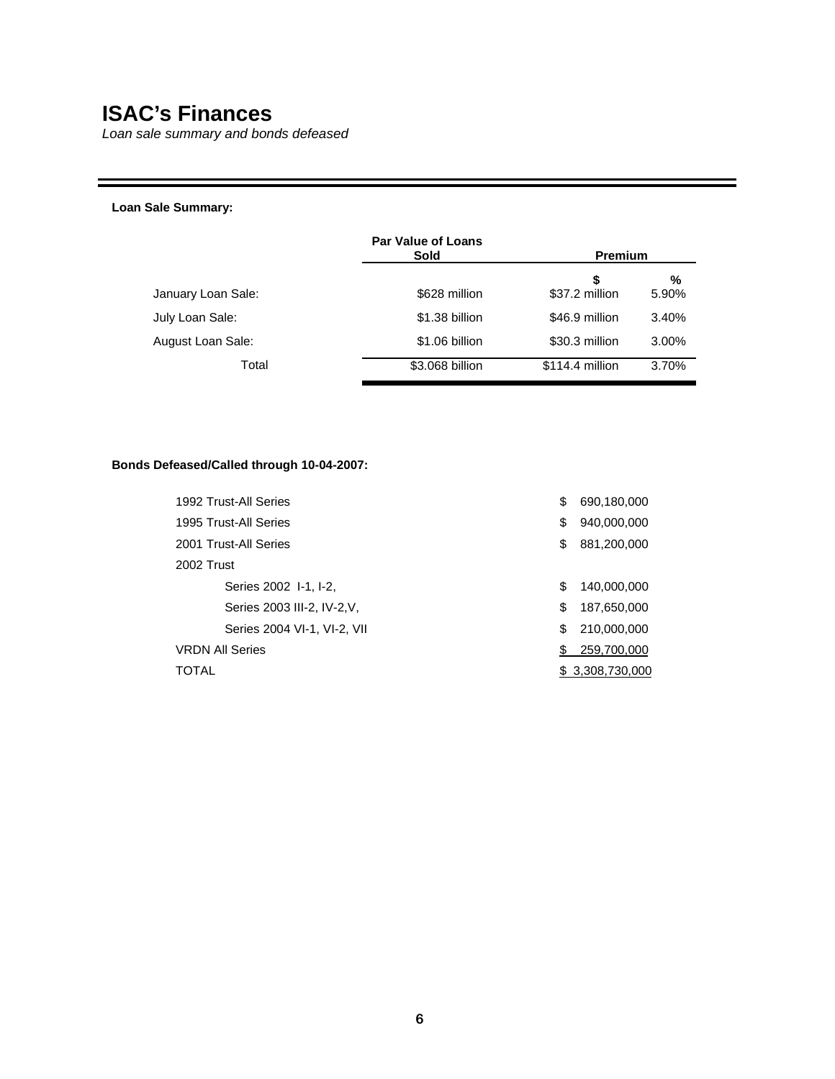# **Breaking New Ground: Illinois Veterans' Home Nurse Loan Repayment Program**

*Helping those who help our heroes*

Deborah Frank, a single mom from Kankakee County, was facing \$4,500 in student loan debt. A licensed practical nurse at the Manteno Veterans' Home for the past 12 years, Frank heard that the new Illinois Veterans' Home Nurse Loan Repayment Program was designed to help nurses pay off their student loans. In November, Frank became the first Illinois nurse to participate in the groundbreaking new initiative. She is now planning to use the grant to pay off her loans from nursing school, thanks to her commitment to helping Illinois veterans. "I hope this program will be an incentive for nurses to work in the Veterans' Homes because I'm very happy with my job here at IVHM," Frank said.

To address the nursing shortage and ensure quality care for those in the state's veterans' homes, the State of Illinois created the Veterans' Home Nurse Loan Repayment Program to be administered by ISAC in conjunction with the Illinois Department of Veterans' Affairs (IDVA). Nurses employed at a veterans' home for one year are now eligible to have as much as \$5,000 of their student loans repaid by the state. The award may only be used to pay the recipient's educational loan.

To be eligible for the repayment, the registered professional or licensed practical nurse must:

- be a U.S. citizen or eligible non-citizen and be an Illinois resident;
- have an outstanding balance due on an eligible educational loan (includes Stafford loans, Graduate PLUS loans, consolidation loans, nursing student loans, Supplemental Loans for Students, alternative loans and other types of government and institutional loans);
- be a nurse who meets licensing requirements of the Illinois Department of Financial and Professional Regulation and is in good standing by the IDVA; and
- fulfill a 12-month period as a registered nurse or licensed practical nurse at one of Illinois' Veterans' Homes, in Anna, LaSalle, Quincy or Manteno.

"One way to honor the sacrifices made by the men and women who now reside in Illinois Veterans' Homes is by providing the best care possible," IDVA Director Tammy Duckworth said. "The Veterans' Home Nurse Loan Repayment Program enables us to keep quality nursing professionals on the job, doing what they do best."

"Nursing is a tough profession that takes a special kind of person, one with commitment and compassion," ISAC Executive Director Andrew Davis said. "When it comes to caring for our veterans, the people of Illinois wish to attract and retain the very best nursing professionals. This program will help do so."



*Nurse Deborah Frank with Victor Sylvester, a World War II veteran at the Manteno Veterans' Home. Frank became the first Illinois resident to participate in the Veterans' Home Nurse Loan Repayment Program, which helps nurses pay off their student loans.* 

*"We are making every effort to help make sure that all of our veterans get the quality care they deserve.* 

*The new Veterans' Home Nurse Loan Repayment Program will not only help nurses repay their student loans, it will attract even more qualified nurses to pursue their career helping take care of our veterans."* 

> *Governor Rod R. Blagojevich, in his Veterans' Day announcement making \$1.2 million available for the Veterans' Home Nurse Loan Repayment Program.*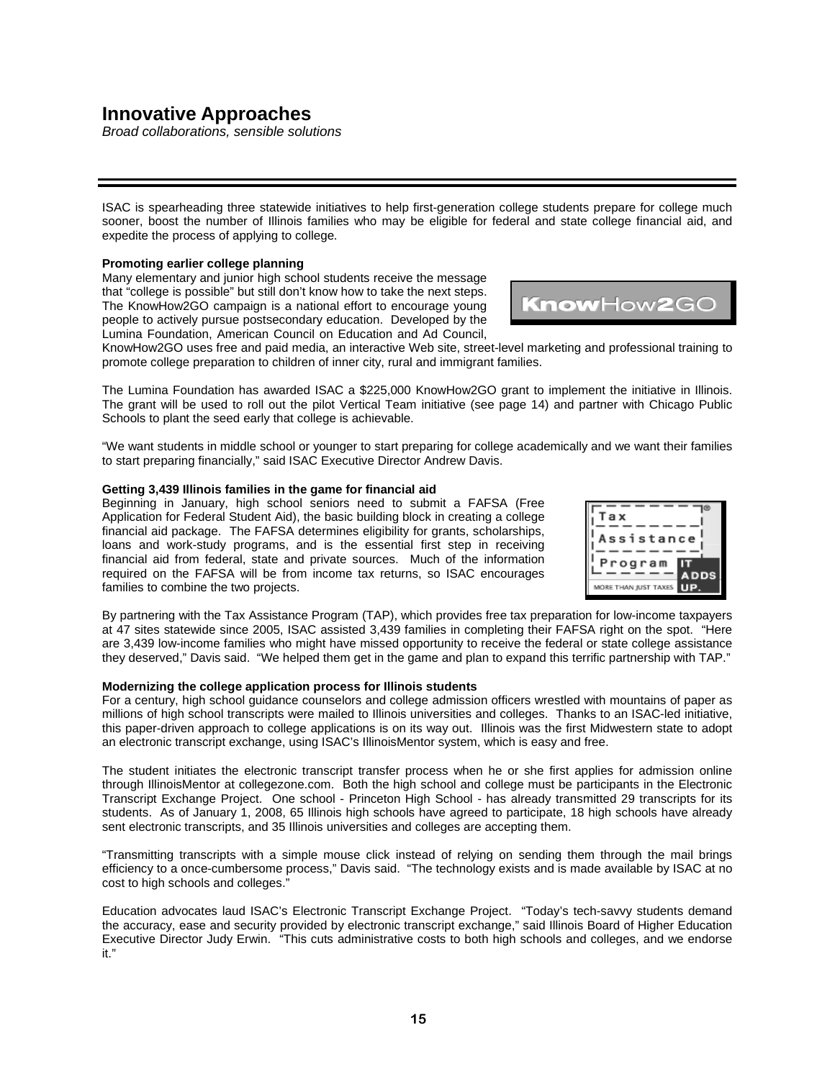### **Innovative Approaches**

*Building partnerships with parents, local communities* 



Students need more than financial assistance to gain a college education. Cutting-edge programs have been developed by ISAC to address the needs of first-generation students, students form low-income families and those who have fallen through the college track cracks. Both the ParentNET and Vertical Teams initiatives - which ISAC plans to roll out in the upcoming year - have been hailed nationally as model programs.

**Parent Network for Education and Training (ParentNET): Getting parents involved**  Many students rely on their parents – some of whom lack any prior college-going experience – to make decisions about higher education with lifelong impact. ParentNET is a college access initiative designed to help parents as they help their children prepare for college. A community-based collaboration, ParentNET provides programming to address the special needs of families with students aspiring to be the first in the family to attend college.

Through the ParentNET partnership, ISAC works closely with educators and community leaders in a "four-season strategy" to help parents believe their children can attend college and prepare for it. In the fall, early awareness workshops are offered. Financial aid awareness and FAFSA completion seminars are convened in the winter. Springtime brings college campus exposure and parent leadership training occurs in the summer. Each event increases the social capital of the parents, enabling them to navigate the complex process of college admission and financial aid.

**We're using<br>raditional coalitiontraditional building and grass**roots organizing<br>techniques to put **techniques n o n t r a d i t i o n a l students on a college track much sooner and keep them there." Andrew Davis Executive Director ISAC** 

ParentNET began in 2006 as a pilot project with several Chicago-area partners: University of Illinois at Chicago, Latin American Recruitment and Educational Services, Richard Daley College, West Side Technical Institute, League of United Latin American Citizens (LULAC), National Education Service Center, Benito Juarez Community Academy, Kelly High School and Community Links High School. Parents attended various college fairs (offered in English and Spanish), culminating in a "Three College Visits in One Day" tour, during which parents were bused to a vocational school, community college and university.

#### **College Access Vertical Teams: Unclogging the P16 pipeline**

The path to college must begin early in a student's career. Many low-income students in particular need more guidance and support as they advance through elementary and secondary school. To eliminate barriers to postsecondary education for such students, ISAC developed the College Access Vertical Team concept. The idea is to establish small networks of educational and outreach professionals within the P16 continuum to support and mentor students at a much earlier age.

A local Vertical Team is comprised of at least five individuals: a representative from a community-based organization, a middle school teacher, a high school counselor, and a college financial aid administrator and admission counselor. Each individual builds upon the previous action of another while simultaneously laying the groundwork for subsequent action. Training and materials are provided by ISAC, which facilitates monthly meetings.

The first Vertical Team was organized in the Rockford area in 2006. Consisting of Rock Valley College, Rockford East High School, Lincoln Middle School and La Voz Latina, this team organized popular outreach events, including a day-long field trip to Rock Valley College which enabled students to attend a real college lecture, participate in a campus-wide scavenger hunt and meet with first-generation college students.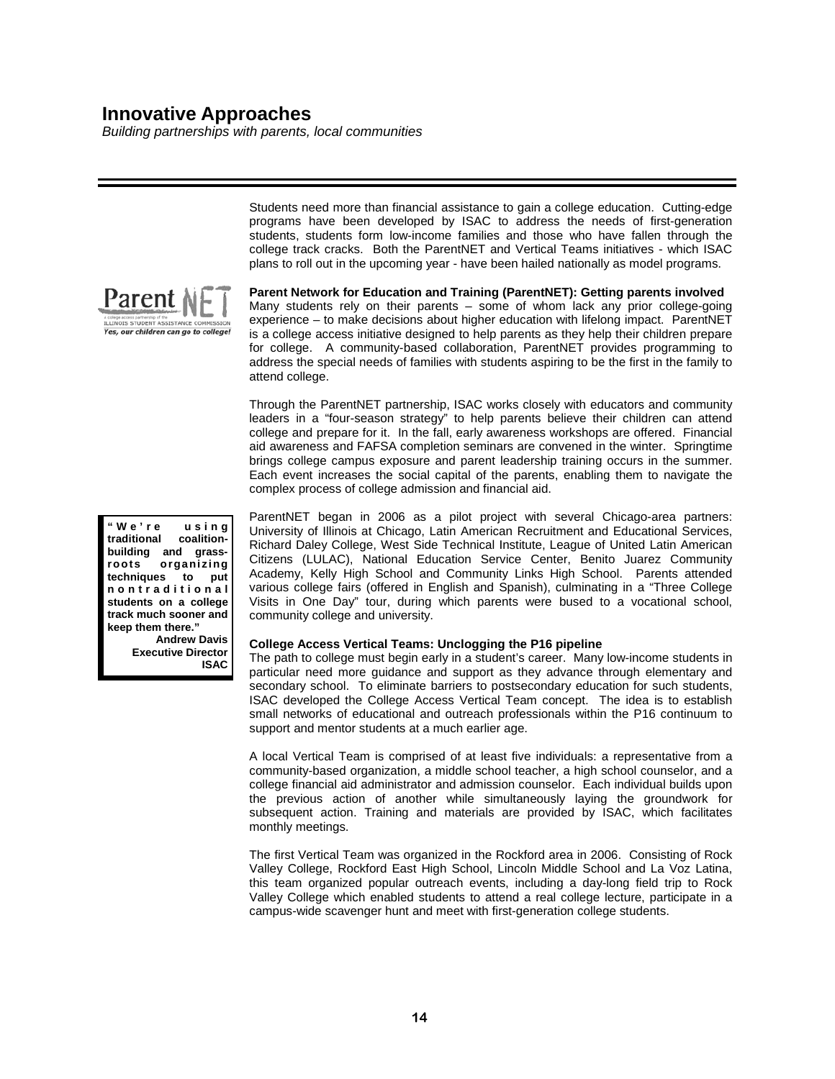# **Innovative Approaches**

*Broad collaborations, sensible solutions*

ISAC is spearheading three statewide initiatives to help first-generation college students prepare for college much sooner, boost the number of Illinois families who may be eligible for federal and state college financial aid, and expedite the process of applying to college.

### **Promoting earlier college planning**

Many elementary and junior high school students receive the message that "college is possible" but still don't know how to take the next steps. The KnowHow2GO campaign is a national effort to encourage young people to actively pursue postsecondary education. Developed by the Lumina Foundation, American Council on Education and Ad Council,

KnowHow2GO uses free and paid media, an interactive Web site, street-level marketing and professional training to promote college preparation to children of inner city, rural and immigrant families.

The Lumina Foundation has awarded ISAC a \$225,000 KnowHow2GO grant to implement the initiative in Illinois. The grant will be used to roll out the pilot Vertical Team initiative (see page 14) and partner with Chicago Public Schools to plant the seed early that college is achievable.

"We want students in middle school or younger to start preparing for college academically and we want their families to start preparing financially," said ISAC Executive Director Andrew Davis.

#### **Getting 3,439 Illinois families in the game for financial aid**

Beginning in January, high school seniors need to submit a FAFSA (Free Application for Federal Student Aid), the basic building block in creating a college financial aid package. The FAFSA determines eligibility for grants, scholarships, loans and work-study programs, and is the essential first step in receiving financial aid from federal, state and private sources. Much of the information required on the FAFSA will be from income tax returns, so ISAC encourages families to combine the two projects.

By partnering with the Tax Assistance Program (TAP), which provides free tax preparation for low-income taxpayers at 47 sites statewide since 2005, ISAC assisted 3,439 families in completing their FAFSA right on the spot. "Here are 3,439 low-income families who might have missed opportunity to receive the federal or state college assistance they deserved," Davis said. "We helped them get in the game and plan to expand this terrific partnership with TAP."

#### **Modernizing the college application process for Illinois students**

For a century, high school guidance counselors and college admission officers wrestled with mountains of paper as millions of high school transcripts were mailed to Illinois universities and colleges. Thanks to an ISAC-led initiative, this paper-driven approach to college applications is on its way out. Illinois was the first Midwestern state to adopt an electronic transcript exchange, using ISAC's IllinoisMentor system, which is easy and free.

The student initiates the electronic transcript transfer process when he or she first applies for admission online through IllinoisMentor at collegezone.com. Both the high school and college must be participants in the Electronic Transcript Exchange Project. One school - Princeton High School - has already transmitted 29 transcripts for its students. As of January 1, 2008, 65 Illinois high schools have agreed to participate, 18 high schools have already sent electronic transcripts, and 35 Illinois universities and colleges are accepting them.

"Transmitting transcripts with a simple mouse click instead of relying on sending them through the mail brings efficiency to a once-cumbersome process," Davis said. "The technology exists and is made available by ISAC at no cost to high schools and colleges."

Education advocates laud ISAC's Electronic Transcript Exchange Project. "Today's tech-savvy students demand the accuracy, ease and security provided by electronic transcript exchange," said Illinois Board of Higher Education Executive Director Judy Erwin. "This cuts administrative costs to both high schools and colleges, and we endorse it."



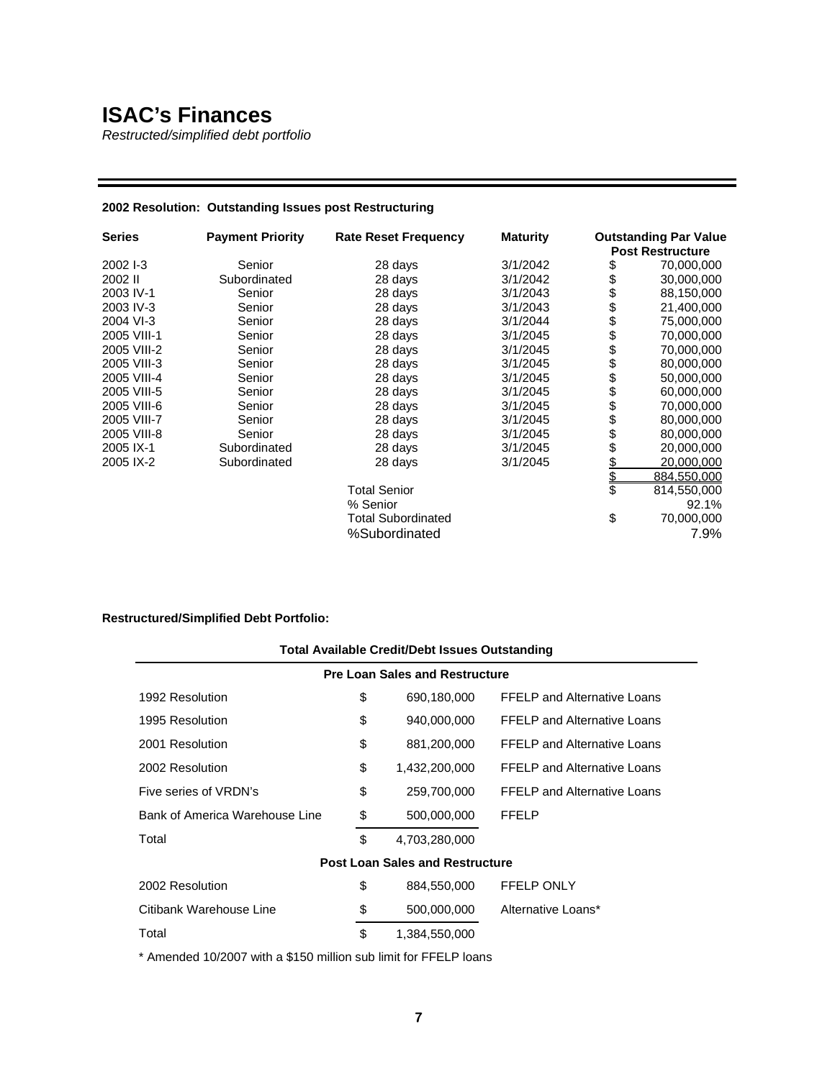### **Taking ISAC's Message To The Streets**

*Multifaceted outreach strategy fuses high-tech with grass-roots organizing*



*A College Zone Outreach Center is operated at every community college campus as well as at ISAC's Chicago office. Trained counselors are on hand to help with a wide range of college planning issues, free of charge. Spanish-speaking counselors are available at many campus outreach centers, or by phone (800-899-4722).*



*It's never too soon to start planning. Devon Sabo, a 6thgrader from Pleasant Plains gets tips from ISAC staff at ISAC's Illinois State Fair booth. Visitors from across Illinois stopped by to learn about early college*<br>*learn about early college preparation, the College Illinois!*<sup>S</sup> *prepaid tuition plan and completing the FAFSA (Free Application for Federal Student Aid).*

Navigating the confusing and ever-changing college financial aid delivery process is a challenge. But unfamiliarity with the process should not be a barrier to any Illinois student who wishes to attend college. By utilizing an engaging Web site, grass-roots organizing techniques and coalition-building, ISAC is able to reach unprecedented numbers of Illinois students, their families and those who help them with college planning.

- In 2007, ISAC helped more than 85,500 students and other clients, and reached another 43,000 students and parents at workshops and college fairs throughout the state. More than 850,000 brochures were distributed, including materials in Spanish and Polish.
- Thousands of high school counselors and community agency advisors were trained by ISAC staff at 40 sessions to help families learn what scholarships, grants and loans are available and how the financial aid process works. Hundreds of counselors and community advocates attended the popular *"How to Complete A FAFSA…in Spanish"* seminars conducted in Cook, McHenry, Will and Kane Counties.
- The message urging parents to plan sooner for college was taken to the streets by ISAC in 2007 at Chicago's huge Bud Billiken Parade and Picnic, the Illinois State Fair in Springfield and the DuQuoin State Fair, sporting events, college fairs and other venues.
- Some of ISAC's methods of aggressively reaching every family possible have earned the agency national acclaim by higher education advocates. See pages 14-15 for details on ParentNET, Vertical Teams, the Taxpayer Assistance Program, electronic transcript transfer and others innovative collaborations.
- As the amount of student loan debt rises, ISAC offers a range of financial literacy seminars and outreach activities. In 2007, ISAC conducted 72 personal finance seminars on college campuses to help students make educated decisions about money. See page 17 for more.

- Financial aid events impacting 457,800 residents in every Illinois county
- ▶ 43 events conducted in Spanish for 6,500 participants
- ▶ 64,533 calls handled by ISAC counselors
- $\triangleright$  Thousands of counselors and advocates trained at 40 events
- ▶ 850,000 ISAC brochures distributed
- 56,517 hits on innovative "IllinoisMentor"
- College Zone Outreach Centers at 50 community colleges

1.7 million hits on collegezone.com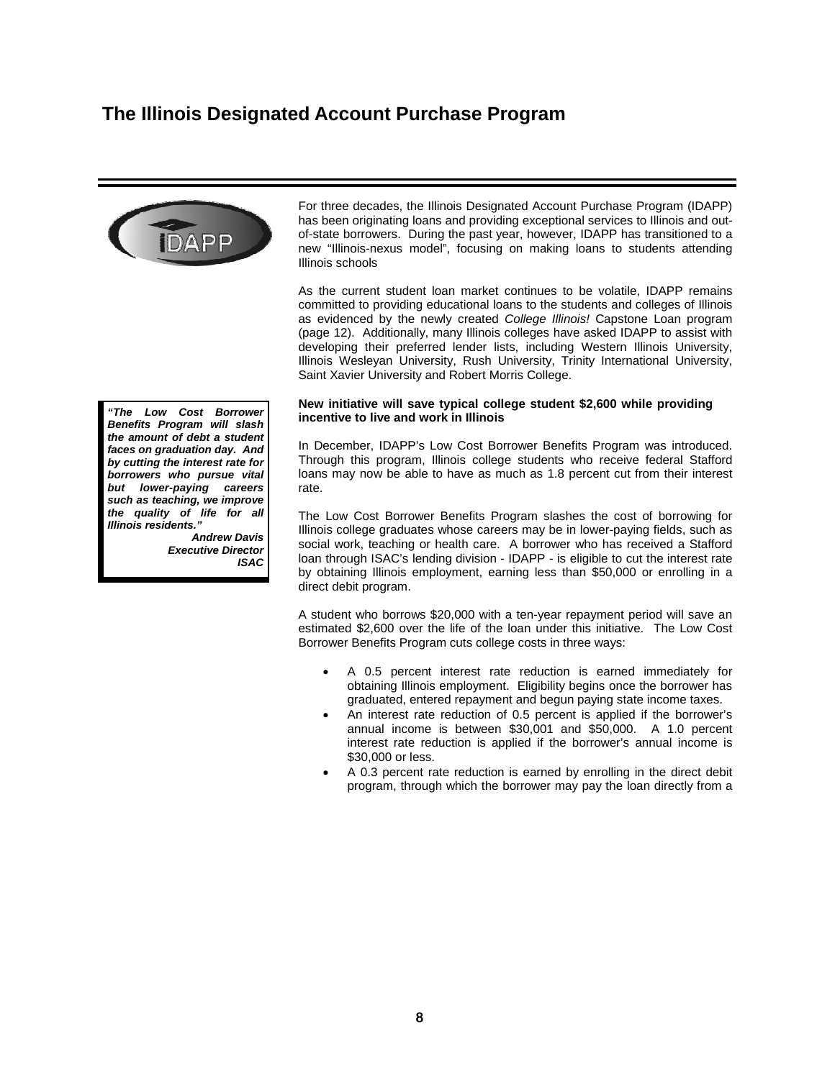### **Taking ISAC's Message To The Streets**

*Financial literacy efforts help students curb debt*

#### **Financial Literacy**

As a guarantor and lender participating in the Federal Family Education Loan Program (FFELP), ISAC feels a strong responsibility to educate borrowers not only on the basics of borrowing, but also on personal finance in general, and the consumer economics of higher education in particular. The necessity of borrowing to finance postsecondary education is simply a reality for many students and utilizing available student loan products can actually be a wise investment. A college education is growing more expensive every day. That expense, when managed wisely, leads to substantial gains in terms of individual and family advancement as well as community economic development. To help Illinois students and their families understand the complexity of financing higher education and make informed consumer decisions, ISAC offers a variety of tools, services, and programs under the umbrella of "Financial Literacy."

#### **Personal Finance Seminars for Students**

Before a student can make wise decisions about borrowing, that student must understand the basics of personal finance: What is a credit score? How is it calculated? What are the advantages of banking accounts versus the use of currency exchanges? What do terms such as "APR" "fixed" "variable" "accrue" and "capitalize" really mean? Many students, and particularly those who will be the first in their family to attend college, face the distinct disadvantage of having limited or no exposure to financial institutions and practices. At ISAC we believe that as an agency of the State of Illinois, it is our responsibility to educate students about personal finance long before the discussion of student loan promissory notes begins. Our mission is not to make loans. Our mission is to make college affordable for Illinois students. Education is the first step in that process.

#### **Consumer Economics of Higher Education Professional Development Sessions**

For the past two years, ISAC has offered high school counselors and other adults who work with college-bound students, the opportunity to attend professional development sessions that demonstrate methods for helping families become more informed consumers of higher education. A college education is a huge investment. Many families, though, view it not as an investment but as an honor. While it may very well be both, the fact is that in the frenzy to make the college dream a reality, impulsive financial decisions with long-term ramifications are sometimes made. Families often do not consider future earning potential when deciding to borrow and do not take into account the need for graduate school - and additional student loan debt - to pursue certain careers. In many cases, they have not received adequate information about school and program reputation, career placement services, average time to degree, transferability of coursework and other very important elements necessary for informed decision making. Illinois students are quite lucky to have a vast array of high quality educational options available right here in their home state. Our outreach staff believes that giving each student the tools to make the best decision and find the right college "fit" is essential for a strong industrial, intellectual and financial future for Illinois. By training the counselors and mentors that work with students and parents every day, we empower the professionals that Illinois families know and trust to provide oneon-one guidance whenever and wherever it is needed.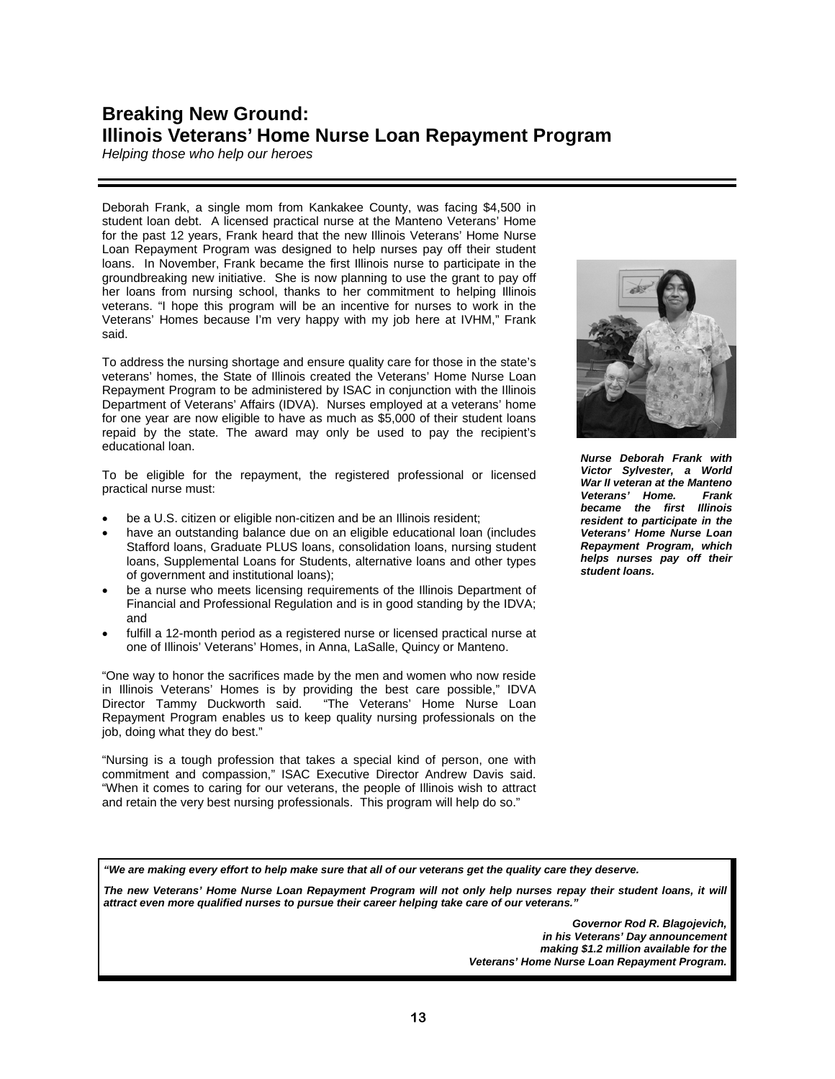### **College Zone**

*ISAC's resource for students, parents, counselors, financial aid advisors and lenders*

Now well into its fifth year of assisting college-bound students and their families as they prepare for higher education, College Zone has more than earned its reputation as the "trusted source for college information". As testament, nearly 1.7 million users visited our Web site last year, more than 64,500 students and parents spoke one-on-one with our College Zone Counselors and almost 21,000 high school counselors, college financial aid advisors and lending and servicing institution representatives spoke with dedicated staff through our specialized tollfree call centers. To complement information available through the Web site and via the telephone, ISAC also publishes a wide array of brochures and printed material to educate and guide Illinois families throughout the entire college experience. More than 850,000 brochures (including pieces in Spanish and Polish) are distributed each year, made available via the convenient ordering process on our Web site.

Launched in August of 2003, College Zone can best be described as a multi-tiered approach to educating future college students along every phase of their college planning journey. At the center of College Zone is ISAC's official Web site, collegezone.com. With "zones" designed exclusively for each user - Students, Parents, Counselors, Financial Aid Administrators, Lenders - collegezone.com simplifies the knowledge search by providing audiencespecific information in each zone. Additionally, the Student and Parent Zones are further defined by the age of the student and the family's stage in the college planning process, with areas for adult learners, parents of young children, and high school students, to name just a few. Reaching out to the growing Hispanic population, our Web site also has an Español zone, patterned after the Student Zone, with text completely in Spanish.

ISAC partners in the delivery of financial aid can find the "how-to's" of administering ISAC's programs through their own partner zones of the site, as well as an e-Library with manuals, workshop handouts and presentations, ISAC administrative rules, federal regulations and numerous other job aids and reference materials. Built specifically for those who interact with potential and current students every day, the underlying purpose of the partner zones of collegezone.com is to provide the tools and guidance to help our partners serve Illinois college-bound students.

Capitalizing on our already-existing partnership with Illinois community colleges, student resource centers are operating on all community college campuses throughout the state. At these centers, students and their families are provided with on-site computer access to collegezone.com for planning information, year-round assistance with completion of the FAFSA (financial aid application), and financial aid counselors available to answer questions in person and provide information on planning and paying for college.

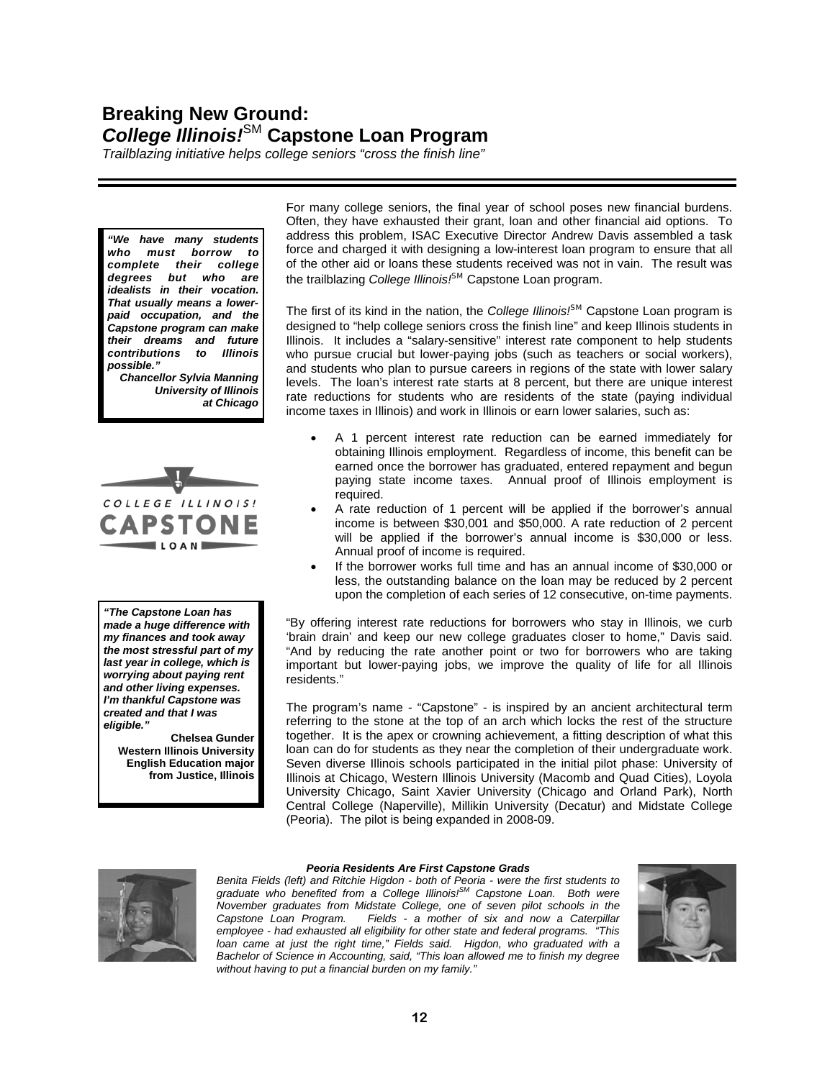### **IllinoisMentor**

*An interactive resource to help students plan for careers and college*

Expanding the reach of College Zone, in December of 2005 ISAC increased our Web presence with the introduction of IllinoisMentor. Accessible through collegezone.com, IllinoisMentor is a companion to the four main components planning, find, applying and paying for college - of the Student and Parent Zones of our College Zone Web site.

With the addition of IllinoisMentor, college-bound students have an interactive career and college planning tool where they can explore career options, choose a college and apply online for admission, and request that their high school transcripts be electronically transmitted to the college(s) of their choice.

IllinoisMentor's My Mentor feature gives high school students the ability to create an electronic portfolio where personal, educational, career and test score information is stored in one online area. My Mentor makes it easier to keep track of high school coursework requirements and all the data students find useful when planning for college. The personal data stored can be used to populate online college admission applications, FAFSA on the Web (the Internet version of the federal financial aid application) and online scholarship search services.

Other interactive features of IllinoisMentor include:

- an Add Your Counselor component that lets students share their plans with their high school counselor by granting access to their My Mentor portfolio.
- a career self-assessment that students can use to better understand their own interests and skills as they relate to careers, and a career matching assistant which allows students to match those interests and skills to fields in which they may decide to pursue their livelihood.
- campus tours, a comparative view and matching assistant to help students gain information about Illinois colleges' and universities' admission requirements, and academic and student life from the convenience of their computer and then compare college options to find colleges that meet their requirements.

Last year, more than 56,500 students accessed IllinoisMentor to help with their career exploration and college planning process.

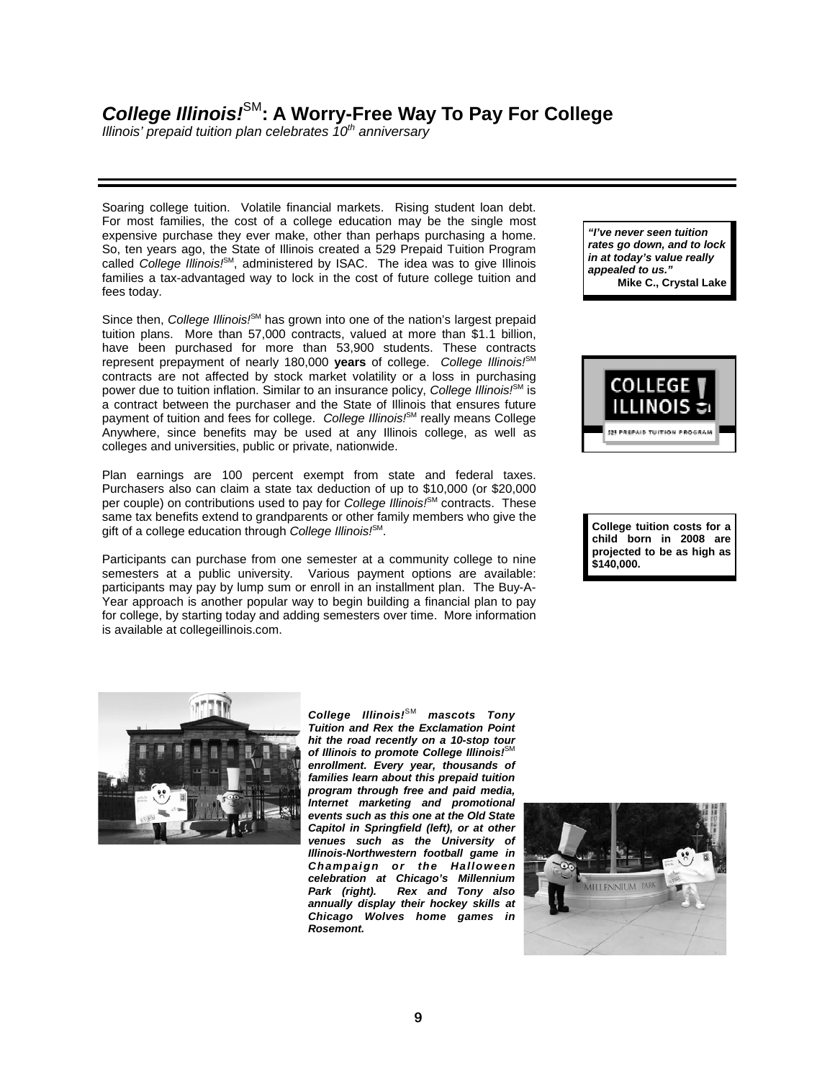### **ISAC Salutes Illinois State Scholars**

*A tribute to "the best and the brightest" of Class of 2008*

Since 1958, ISAC has overseen the Illinois State Scholar Program, which honors high school seniors from across the state for academic achievement. This year, ISAC recognized 18,178 students from 711 high schools in all 102 Illinois counties as our 2008 Illinois State Scholars.

"These students personify excellence," said ISAC Executive Director Andrew Davis. "Illinois State Scholars are among the best and the brightest in our state's high schools. We salute them, along with their partners in reaching for the stars - their families and teachers - for this stellar achievement."

Illinois State Scholar selection is based on scores achieved by students on the SAT, ACT and/or Prairie State Achievement Exam and/or class rank at the end of the junior year. High school guidance counselors work in conjunction with ISAC to determine the winners. At least a half million Illinois State Scholars have been recognized in the past 49 years. While the prestigious recognition does not provide a monetary award, winners are encouraged to cite the award on applications for college admission and scholarships.

"Competition for college admission and financial aid is fierce," Davis said. "Illinois State Scholar awardees have shown they can hit the books, so I ask every Illinois college president to put these students at the top of the list for admission."

This year's Illinois State Scholars hail from all parts of the state. Some of the winners are shown below.



Seven students from United High School in Alexis, Illinois (pop. 908) were named Illinois State Scholars. All residents of Warren County, they are (from left): Ben Battenburg, who will attend Monmouth College; Patrick Hollis, who will attend St. Ambrose; Sarah Armstrong, who is headed to the University of Iowa; Taylor Willett, who plans to study biochemical engineering; Larissa Prentice, who plans to earn an accounting or business degree; Max Christy, who will choose between Northern Illinois University and Bradley University, and Preston Schrader, who plans to earn an engineering degree.



Other State Scholar recipients are George Martinez (upper left), who plans to study Accounting at the University of Illinois, Urbana-Champaign and Crystal Montanez (lower left), headed to the University of Wisconsin in Madison to major in Immunology and Microbiology, both of Lane Technical High School in Chicago, and Martha Golonko (upper right), planning to attend Northwestern University to study Chemistry and Secondary Education, and Andrew Beierwaltes (lower right), off to the University of Illinois, Urbana-Champaign to major in Mathematics and Computer Science, both of Maine East High School in Park Ridge.

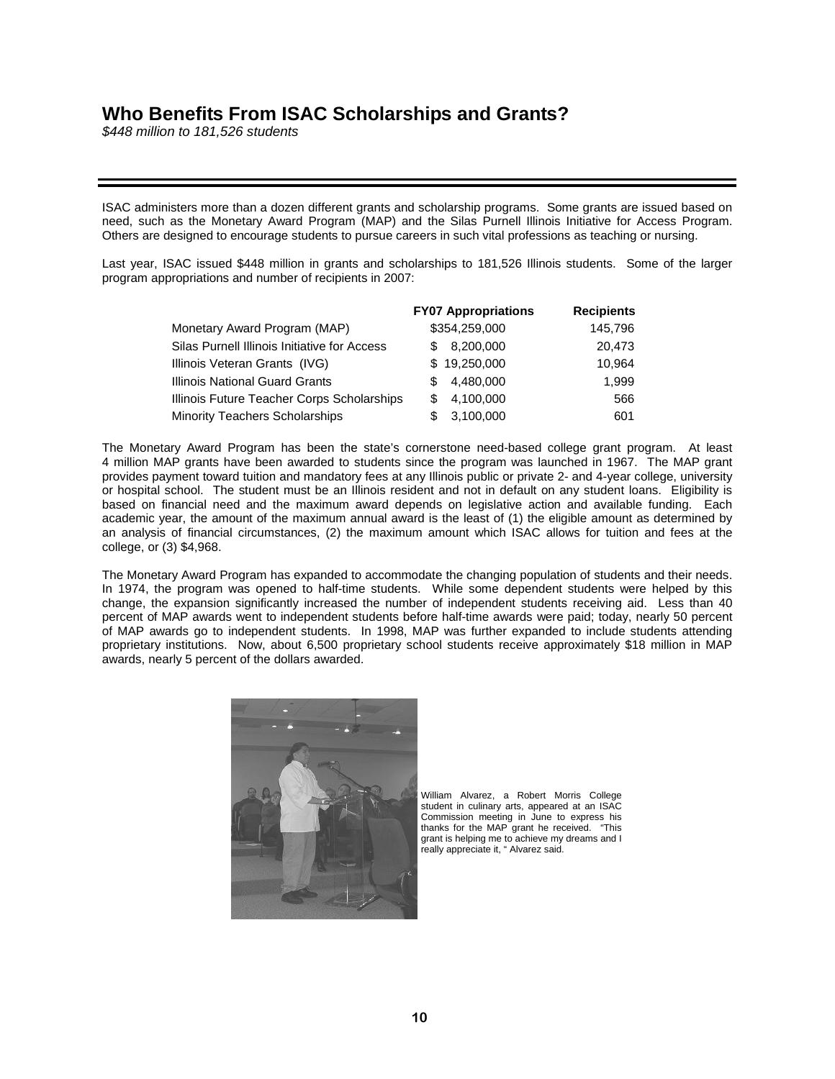## **ISAC Commissioners and Directors**

#### **ISAC Commissioners**

The Illinois Student Assistance Commission is governed by Commissioners who are appointed by the Governor with the advice and consent of the Illinois Senate. They serve staggered six-year terms without pay. The Commissioners meet six times annually at various college campuses around Illinois.



Donald J. McNeil, Chairman Partner, Barnes & Thornburg LLP Cook County resident



Dr. Mary Ann Louderback Former Member, Illinois Educational Labor Relations Board McHenry County resident Representing public institutions



Sharon Taylor Alpi Coleman Foundation Professor in Entrepreneurship, Tabor School of Business, Millikin University Macon County resident Representing private institutions



Dr. Lynda Andre Assistant Superintendent for Curriculum, Edwardsville Community Unit School District 7 Madison County resident Representing public high schools



Warren "Bo" Daniels, Jr., Vice-Chairman Managing Director and Head of Public Finance, Loop Capital Markets Cook County resident



David H. Vaught Deputy Director, Illinois Department of Central Management Services Will County resident



Hugh Van Voorst Owner, Van Voorst Lumber Company Kankakee County resident Representing community colleges



Kelvin Wing DePaul University, Student Commissioner Cook County resident

### *ISAC Executive Staff*

Andrew A. Davis - Executive Director Kim Barker Lee - General Counsel Katharine Gricevich - Special Assistant to the Executive Director Susan Kleemann - Director, Research, Planning and Policy Analysis Sam Nelson - Managing Director, Marketing and Communications John Sinsheimer - CFO/Managing Director, Financial Products and Services Joanne Tolbert - Managing Director, Human Resources and Development/Business Support

#### *ISAC Directors*

Vicki Baba - Interim Director, Human Resources and Development Eduardo Brambila - Director, Public Service, Community Partnerships Tom Breyer - Senior Policy Advisor Bill Coleman - Interim Director, Business and Financial Services Steve DiBenedetto - Interim Director, IDAPP Stephen Dorfman - First Deputy General Counsel Randy Erford - Director, *College Illinois!*SM Prepaid Tuition Plan Susan McCarragher - Director, Administrative Services Jacqueline Moreno - Director, Public Service, College Access Initiatives Shoba Nandhan - Director, Budget and Finance Division James O'Neil - Interim Director, Information Services Christine G. Peterson - Director, Program Services and Compliance Mary Roberts - Director, Sales and Marketing, *College Illinois!*SM Prepaid Tuition Plan Claude Walker - Director, Media Affairs